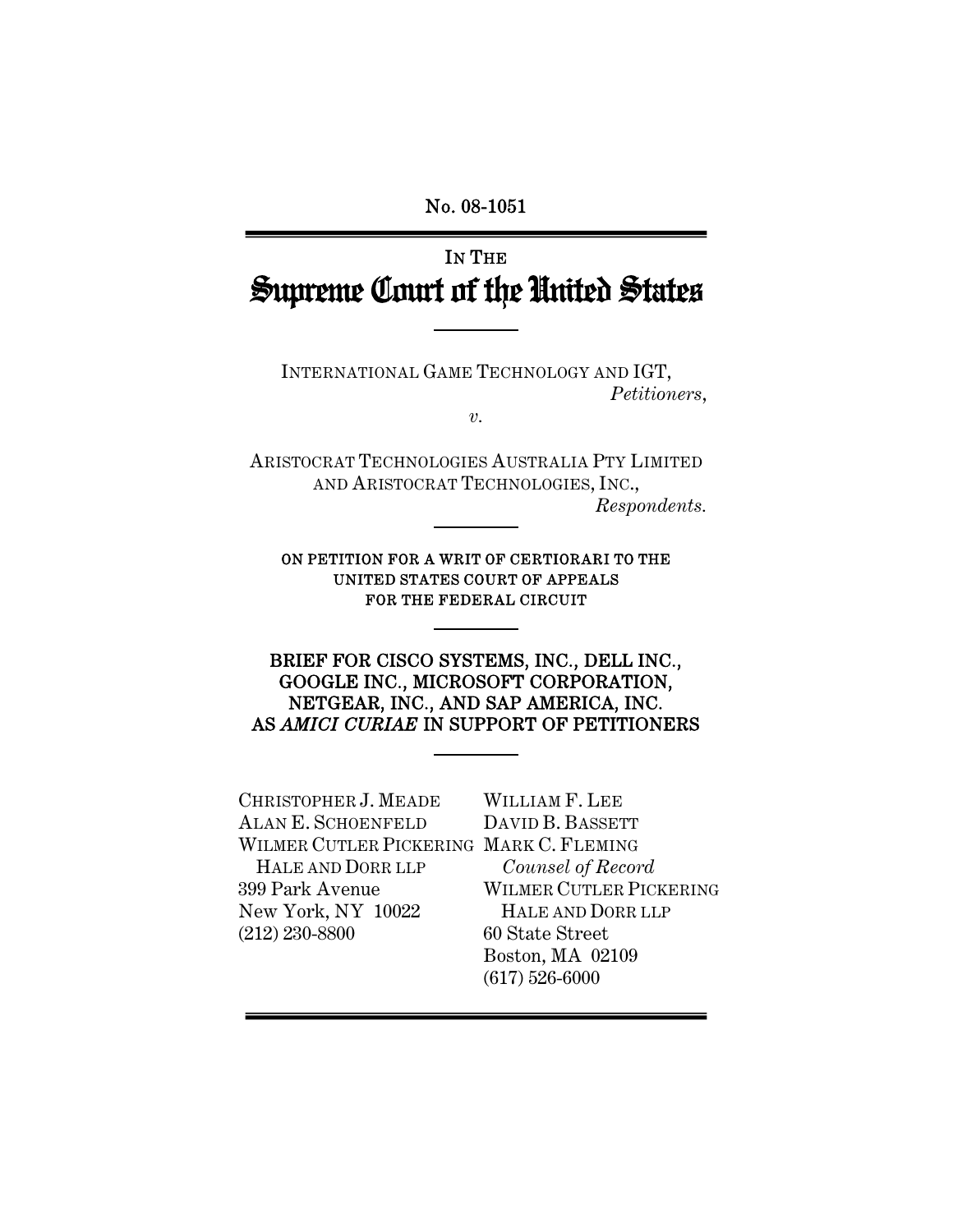# No. 08-1051 ī

# IN THE Supreme Court of the United States

INTERNATIONAL GAME TECHNOLOGY AND IGT, *Petitioners*,

*v.* 

ARISTOCRAT TECHNOLOGIES AUSTRALIA PTY LIMITED AND ARISTOCRAT TECHNOLOGIES, INC., *Respondents.* 

ON PETITION FOR A WRIT OF CERTIORARI TO THE UNITED STATES COURT OF APPEALS FOR THE FEDERAL CIRCUIT

1

BRIEF FOR CISCO SYSTEMS, INC., DELL INC., GOOGLE INC., MICROSOFT CORPORATION, NETGEAR, INC., AND SAP AMERICA, INC. AS *AMICI CURIAE* IN SUPPORT OF PETITIONERS

CHRISTOPHER J. MEADE ALAN E. SCHOENFELD WILMER CUTLER PICKERING MARK C. FLEMING HALE AND DORR LLP 399 Park Avenue New York, NY 10022 (212) 230-8800

WILLIAM F. LEE DAVID B. BASSETT *Counsel of Record* WILMER CUTLER PICKERING HALE AND DORR LLP 60 State Street Boston, MA 02109 (617) 526-6000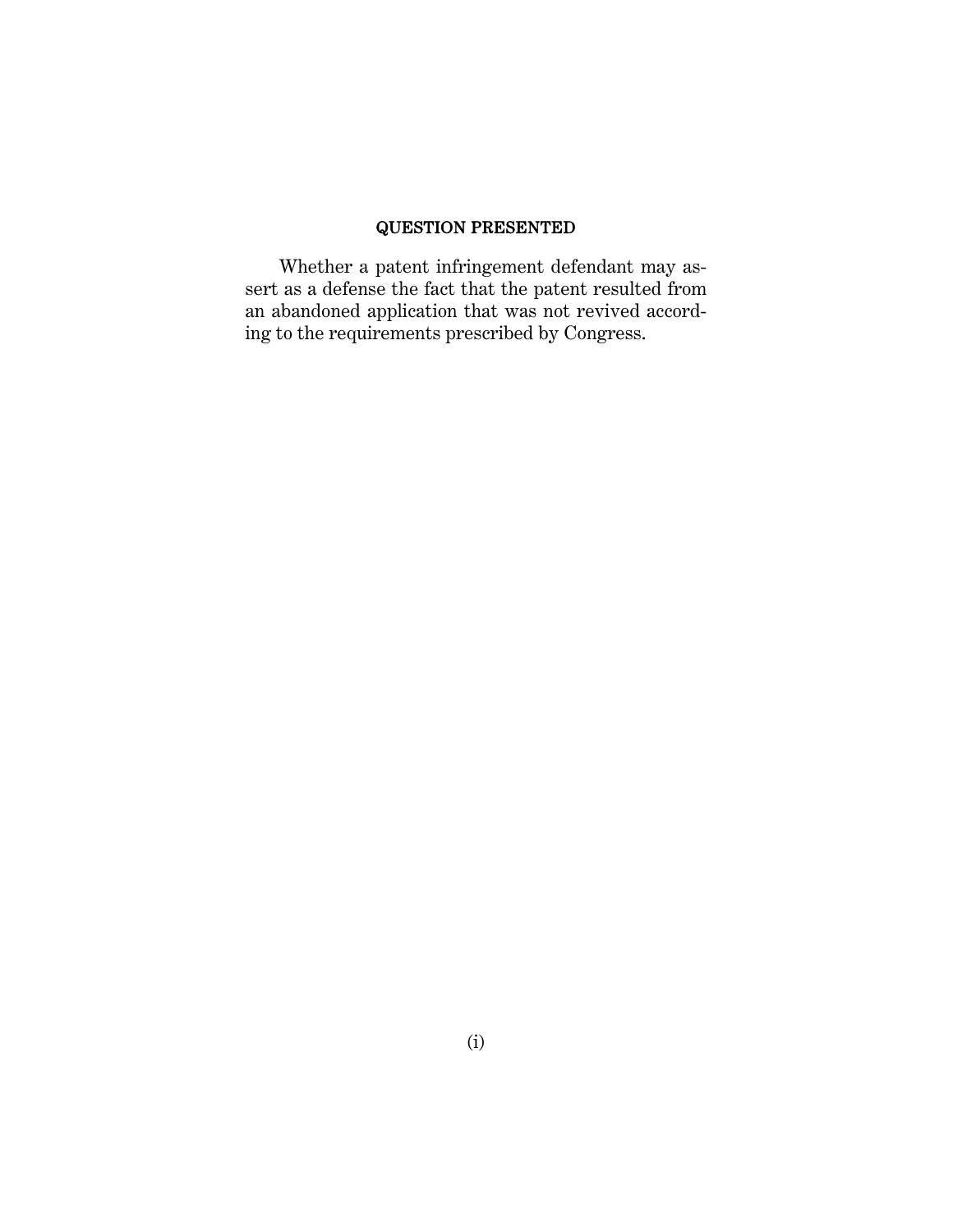## QUESTION PRESENTED

Whether a patent infringement defendant may assert as a defense the fact that the patent resulted from an abandoned application that was not revived according to the requirements prescribed by Congress.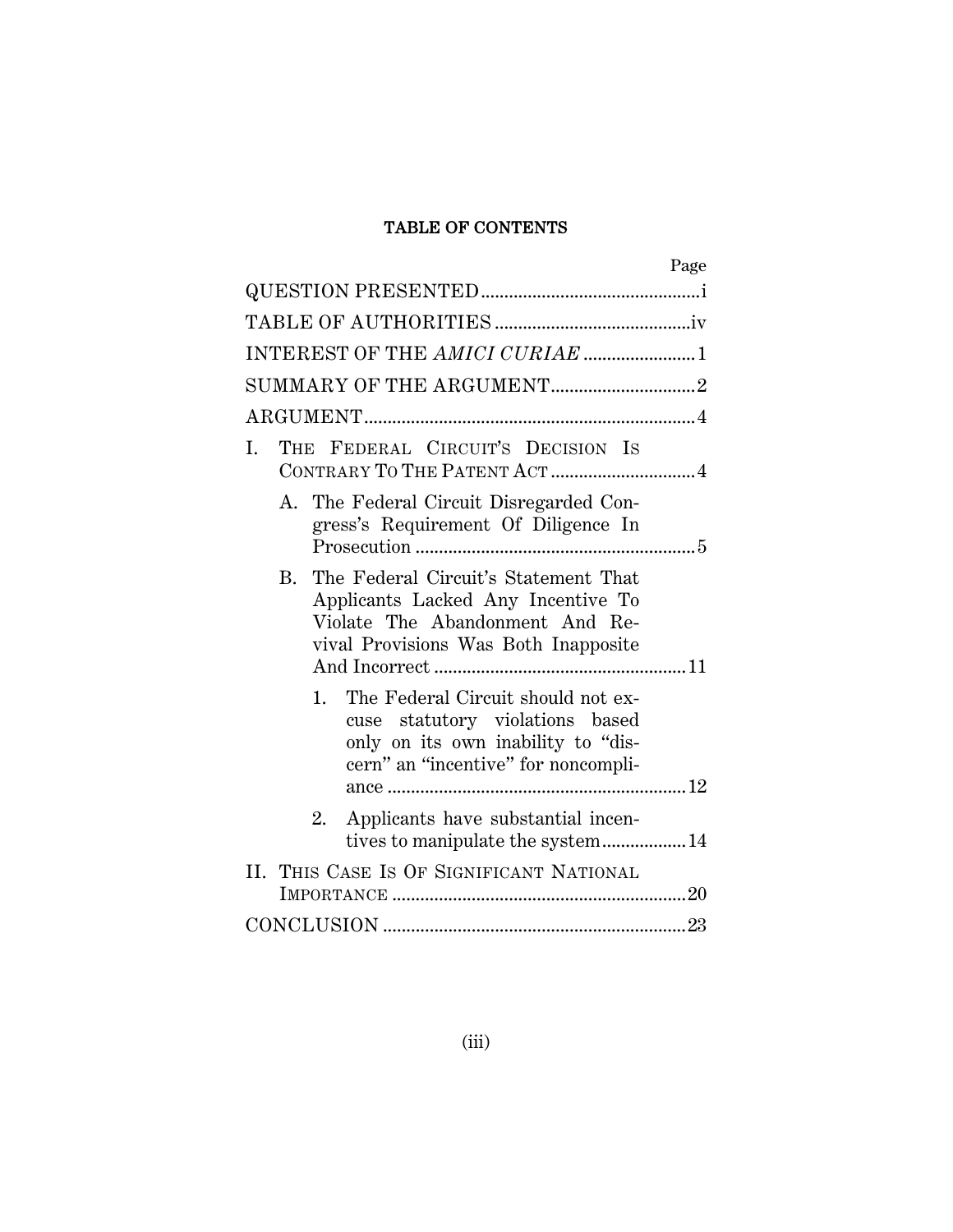# TABLE OF CONTENTS

| Page                                                                                                                                                        |  |  |  |  |
|-------------------------------------------------------------------------------------------------------------------------------------------------------------|--|--|--|--|
|                                                                                                                                                             |  |  |  |  |
|                                                                                                                                                             |  |  |  |  |
| INTEREST OF THE AMICI CURIAE 1                                                                                                                              |  |  |  |  |
|                                                                                                                                                             |  |  |  |  |
|                                                                                                                                                             |  |  |  |  |
| THE FEDERAL CIRCUIT'S DECISION IS<br>I.<br>CONTRARY TO THE PATENT ACT 4                                                                                     |  |  |  |  |
| A. The Federal Circuit Disregarded Con-<br>gress's Requirement Of Diligence In                                                                              |  |  |  |  |
| The Federal Circuit's Statement That<br>B.<br>Applicants Lacked Any Incentive To<br>Violate The Abandonment And Re-<br>vival Provisions Was Both Inapposite |  |  |  |  |
| The Federal Circuit should not ex-<br>1.<br>cuse statutory violations based<br>only on its own inability to "dis-<br>cern" an "incentive" for noncompli-    |  |  |  |  |
| Applicants have substantial incen-<br>2.<br>tives to manipulate the system 14                                                                               |  |  |  |  |
| II. THIS CASE IS OF SIGNIFICANT NATIONAL                                                                                                                    |  |  |  |  |
|                                                                                                                                                             |  |  |  |  |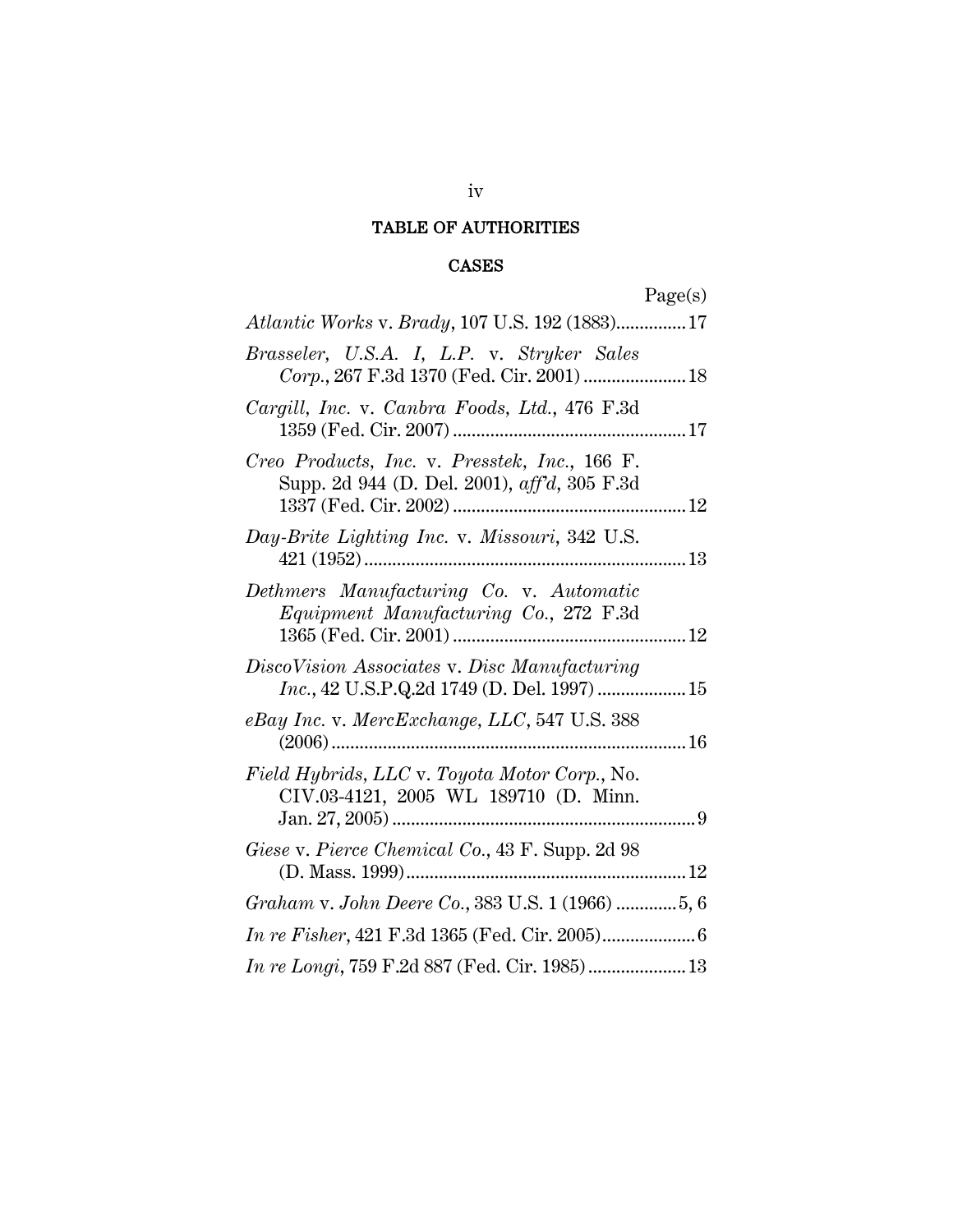# TABLE OF AUTHORITIES

## CASES

| auer |  |
|------|--|
|      |  |
|      |  |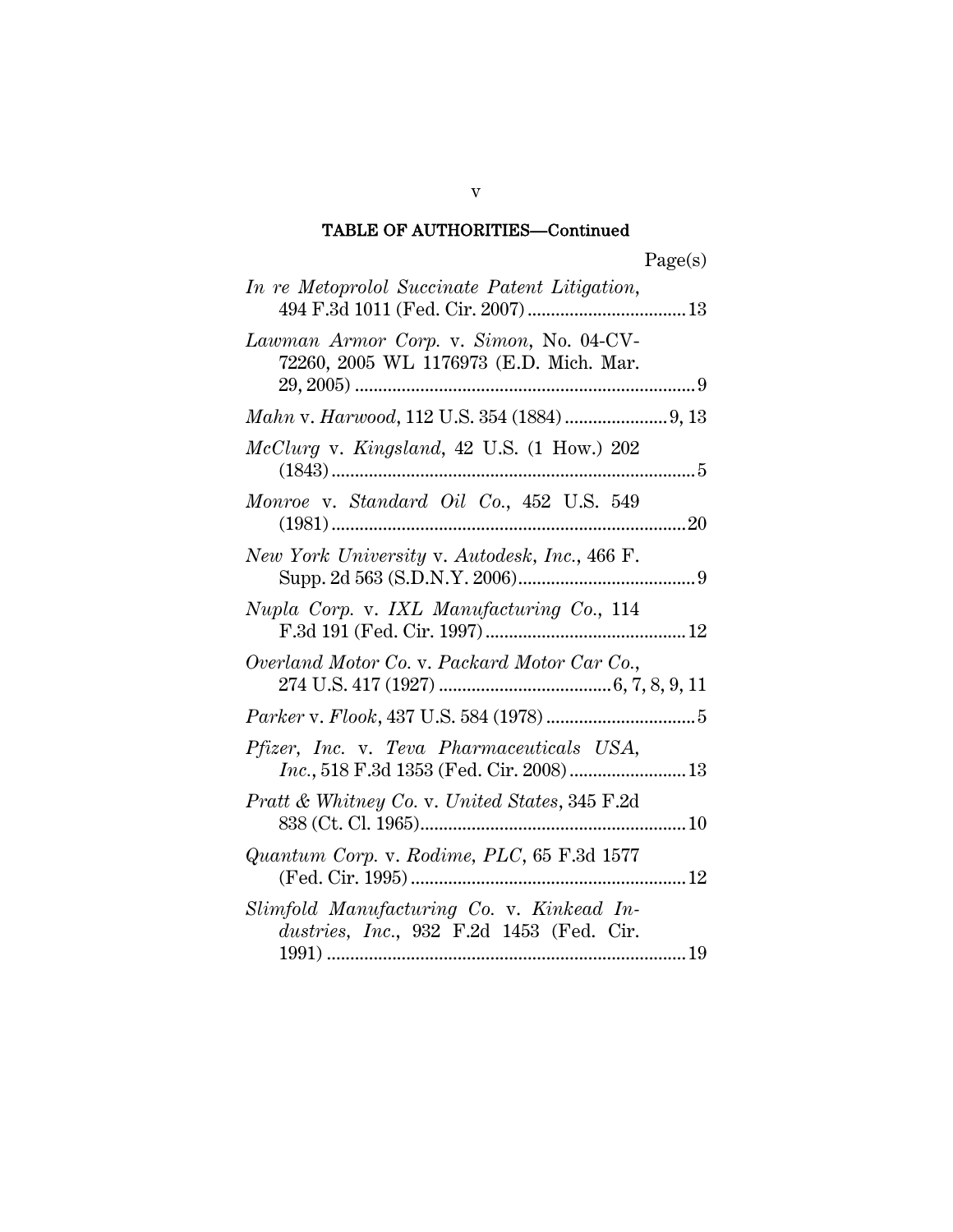# TABLE OF AUTHORITIES—Continued

| In re Metoprolol Succinate Patent Litigation,                                           |
|-----------------------------------------------------------------------------------------|
| Lawman Armor Corp. v. Simon, No. 04-CV-<br>72260, 2005 WL 1176973 (E.D. Mich. Mar.      |
|                                                                                         |
| McClurg v. Kingsland, 42 U.S. (1 How.) 202                                              |
| Monroe v. Standard Oil Co., 452 U.S. 549<br>20                                          |
| New York University v. Autodesk, Inc., 466 F.                                           |
| Nupla Corp. v. IXL Manufacturing Co., 114                                               |
| Overland Motor Co. v. Packard Motor Car Co.,                                            |
|                                                                                         |
| Pfizer, Inc. v. Teva Pharmaceuticals USA,<br>$Inc., 518 F.3d$ 1353 (Fed. Cir. 2008)  13 |
| Pratt & Whitney Co. v. United States, 345 F.2d                                          |
| Quantum Corp. v. Rodime, PLC, 65 F.3d 1577                                              |
| Slimfold Manufacturing Co. v. Kinkead In-<br>dustries, Inc., 932 F.2d 1453 (Fed. Cir.   |

v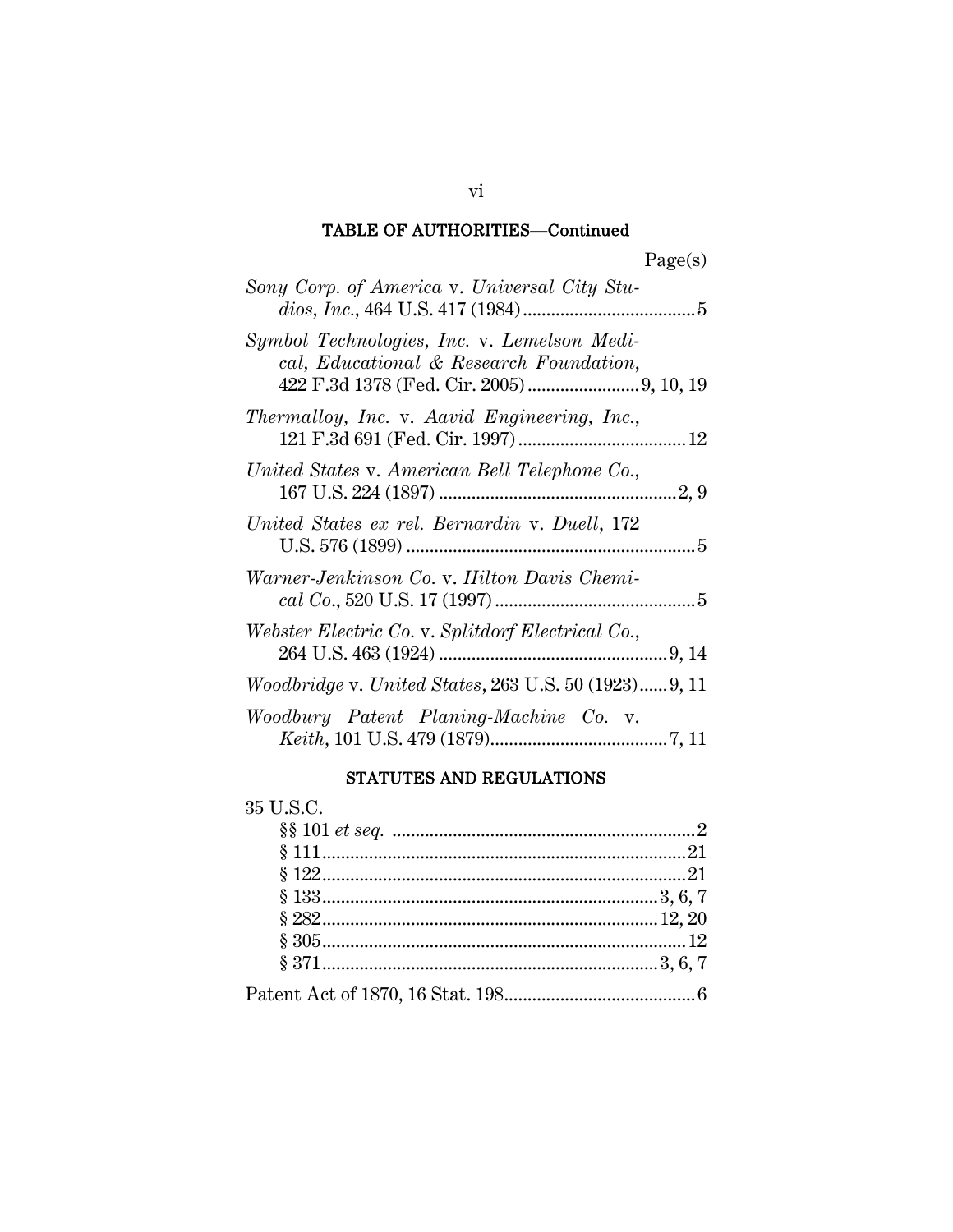#### TABLE OF AUTHORITIES—Continued

| Sony Corp. of America v. Universal City Stu-                                           |
|----------------------------------------------------------------------------------------|
| Symbol Technologies, Inc. v. Lemelson Medi-<br>cal, Educational & Research Foundation, |
| Thermalloy, Inc. v. Aavid Engineering, Inc.,                                           |
| United States v. American Bell Telephone Co.,                                          |
| United States ex rel. Bernardin v. Duell, 172                                          |
| Warner-Jenkinson Co. v. Hilton Davis Chemi-                                            |
| Webster Electric Co. v. Splitdorf Electrical Co.,                                      |
| <i>Woodbridge v. United States, 263 U.S. 50 (1923)9, 11</i>                            |
| Woodbury Patent Planing-Machine Co. v.                                                 |

#### STATUTES AND REGULATIONS

# 35 U.S.C. §§ 101 *et seq.* .................................................................2 § 111..............................................................................21 § 122..............................................................................21 § 133........................................................................3, 6, 7 § 282........................................................................12, 20 § 305..............................................................................12 § 371........................................................................3, 6, 7 Patent Act of 1870, 16 Stat. 198.........................................6

vi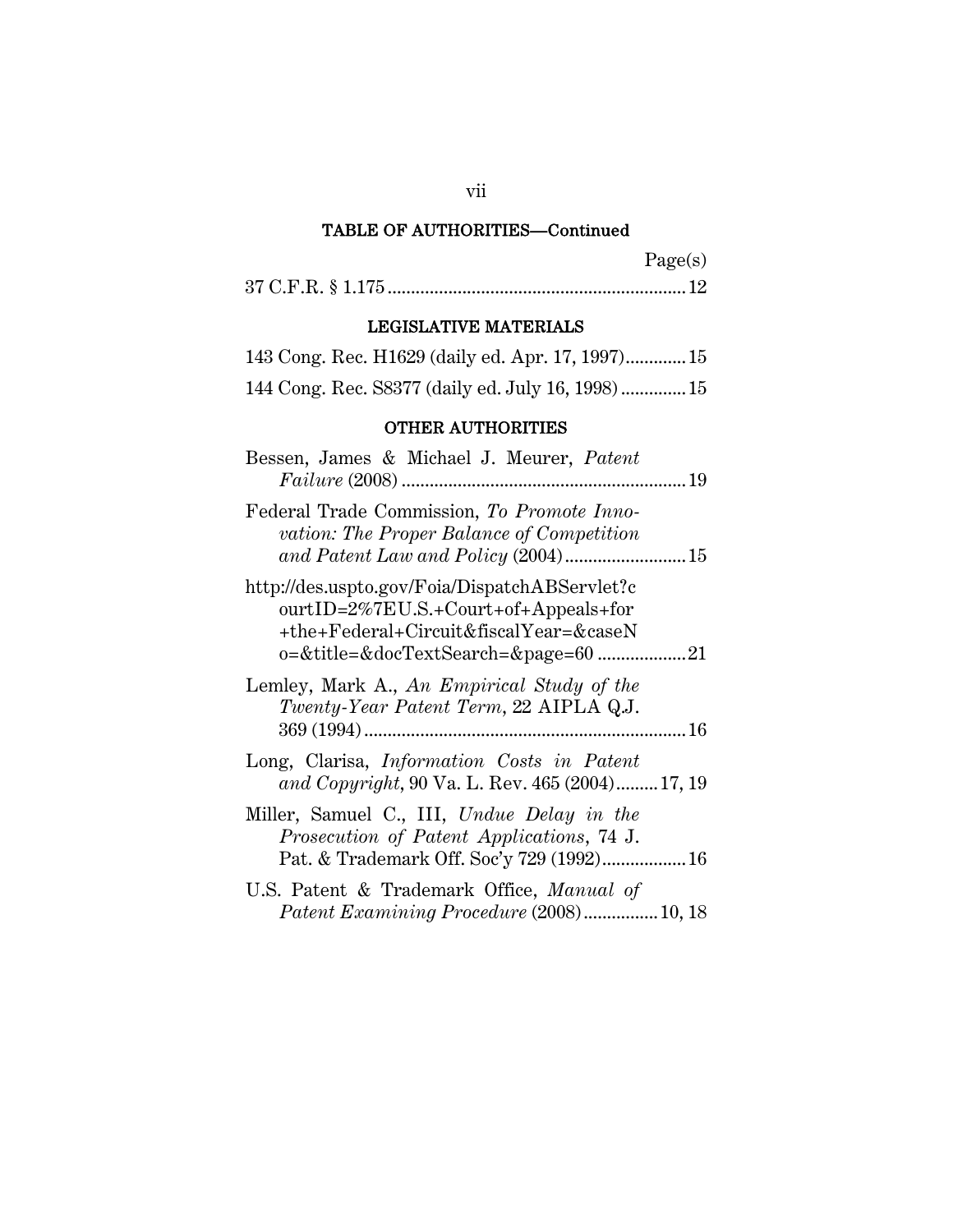# TABLE OF AUTHORITIES—Continued

| agets |
|-------|
|-------|

37 C.F.R. § 1.175 ................................................................12

## LEGISLATIVE MATERIALS

|  |  | 143 Cong. Rec. H1629 (daily ed. Apr. 17, 1997) 15  |  |
|--|--|----------------------------------------------------|--|
|  |  | 144 Cong. Rec. S8377 (daily ed. July 16, 1998)  15 |  |

#### OTHER AUTHORITIES

| Bessen, James & Michael J. Meurer, Patent                                                                                                |
|------------------------------------------------------------------------------------------------------------------------------------------|
| Federal Trade Commission, To Promote Inno-<br>vation: The Proper Balance of Competition                                                  |
| http://des.uspto.gov/Foia/DispatchABServlet?c<br>$ourtID = 2\% 7EU.S.+ Court+ of+Appeals+ for$<br>+the+Federal+Circuit&fiscalYear=&caseN |
| Lemley, Mark A., An Empirical Study of the<br>Twenty-Year Patent Term, 22 AIPLA Q.J.                                                     |
| Long, Clarisa, <i>Information Costs in Patent</i><br>and Copyright, 90 Va. L. Rev. 465 (2004) 17, 19                                     |
| Miller, Samuel C., III, Undue Delay in the<br>Prosecution of Patent Applications, 74 J.<br>Pat. & Trademark Off. Soc'y 729 (1992) 16     |
| U.S. Patent & Trademark Office, Manual of<br><i>Patent Examining Procedure</i> (2008)10, 18                                              |

vii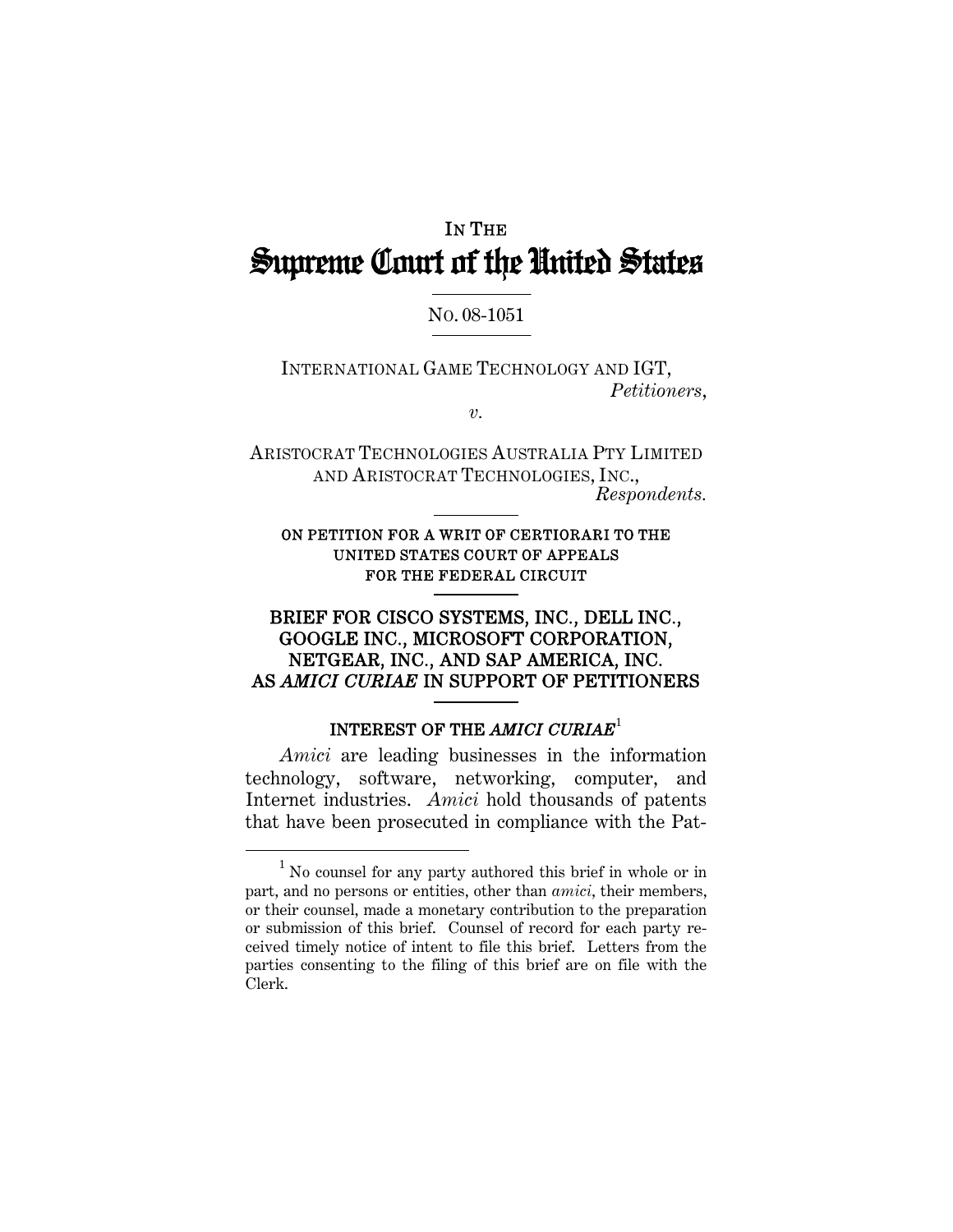# IN THE Supreme Court of the United States

## NO. 08-1051

INTERNATIONAL GAME TECHNOLOGY AND IGT, *Petitioners*,

*v.* 

ARISTOCRAT TECHNOLOGIES AUSTRALIA PTY LIMITED AND ARISTOCRAT TECHNOLOGIES, INC., *Respondents.* 

## ON PETITION FOR A WRIT OF CERTIORARI TO THE UNITED STATES COURT OF APPEALS FOR THE FEDERAL CIRCUIT

1

## BRIEF FOR CISCO SYSTEMS, INC., DELL INC., GOOGLE INC., MICROSOFT CORPORATION, NETGEAR, INC., AND SAP AMERICA, INC. AS *AMICI CURIAE* IN SUPPORT OF PETITIONERS

## INTEREST OF THE *AMICI CURIAE*<sup>1</sup>

*Amici* are leading businesses in the information technology, software, networking, computer, and Internet industries. *Amici* hold thousands of patents that have been prosecuted in compliance with the Pat-

<sup>1</sup> <sup>1</sup> No counsel for any party authored this brief in whole or in part, and no persons or entities, other than *amici*, their members, or their counsel, made a monetary contribution to the preparation or submission of this brief. Counsel of record for each party received timely notice of intent to file this brief. Letters from the parties consenting to the filing of this brief are on file with the Clerk.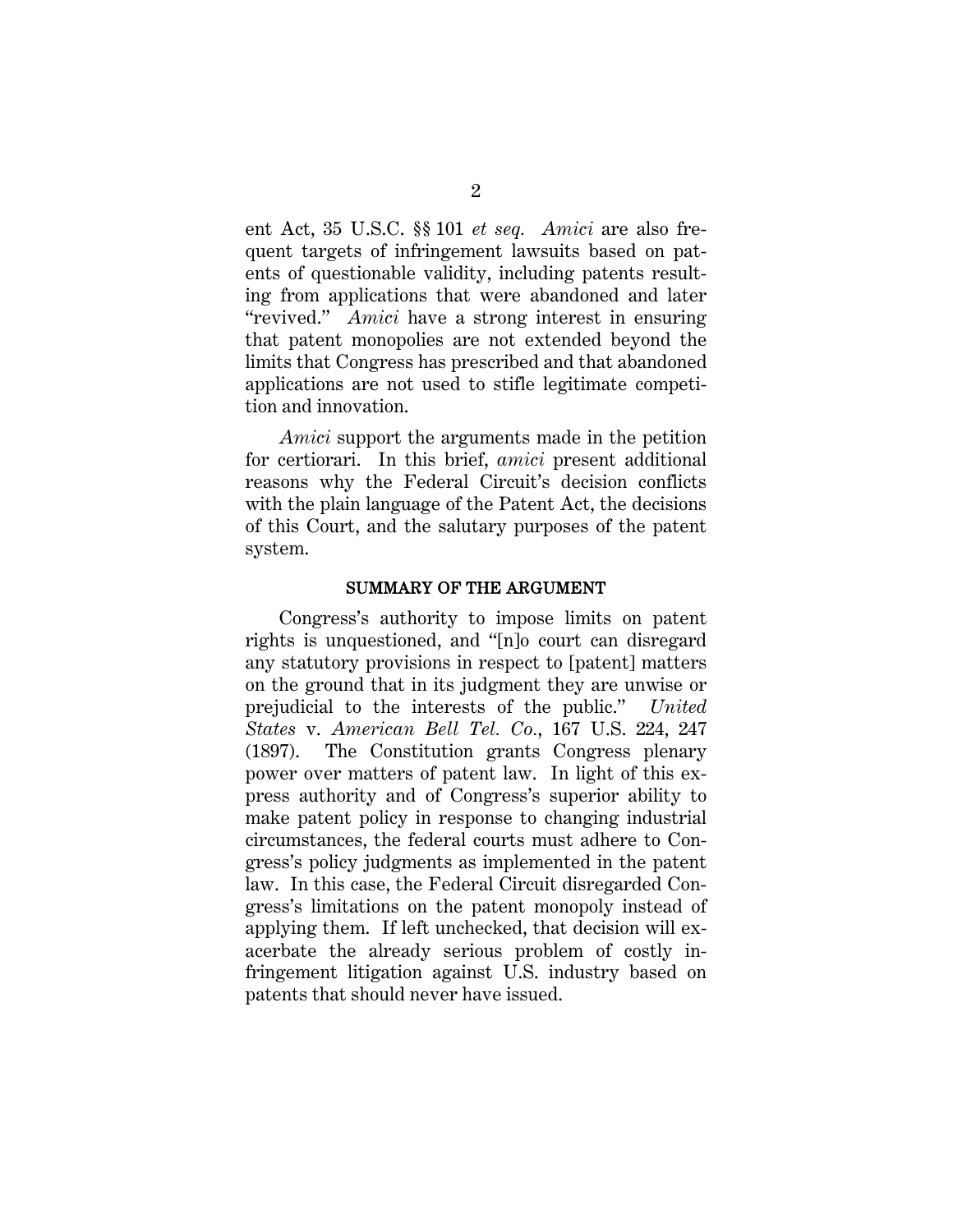ent Act, 35 U.S.C. §§ 101 *et seq. Amici* are also frequent targets of infringement lawsuits based on patents of questionable validity, including patents resulting from applications that were abandoned and later "revived." *Amici* have a strong interest in ensuring that patent monopolies are not extended beyond the limits that Congress has prescribed and that abandoned applications are not used to stifle legitimate competition and innovation.

*Amici* support the arguments made in the petition for certiorari. In this brief, *amici* present additional reasons why the Federal Circuit's decision conflicts with the plain language of the Patent Act, the decisions of this Court, and the salutary purposes of the patent system.

#### SUMMARY OF THE ARGUMENT

Congress's authority to impose limits on patent rights is unquestioned, and "[n]o court can disregard any statutory provisions in respect to [patent] matters on the ground that in its judgment they are unwise or prejudicial to the interests of the public." *United States* v. *American Bell Tel. Co.*, 167 U.S. 224, 247 (1897). The Constitution grants Congress plenary power over matters of patent law. In light of this express authority and of Congress's superior ability to make patent policy in response to changing industrial circumstances, the federal courts must adhere to Congress's policy judgments as implemented in the patent law. In this case, the Federal Circuit disregarded Congress's limitations on the patent monopoly instead of applying them. If left unchecked, that decision will exacerbate the already serious problem of costly infringement litigation against U.S. industry based on patents that should never have issued.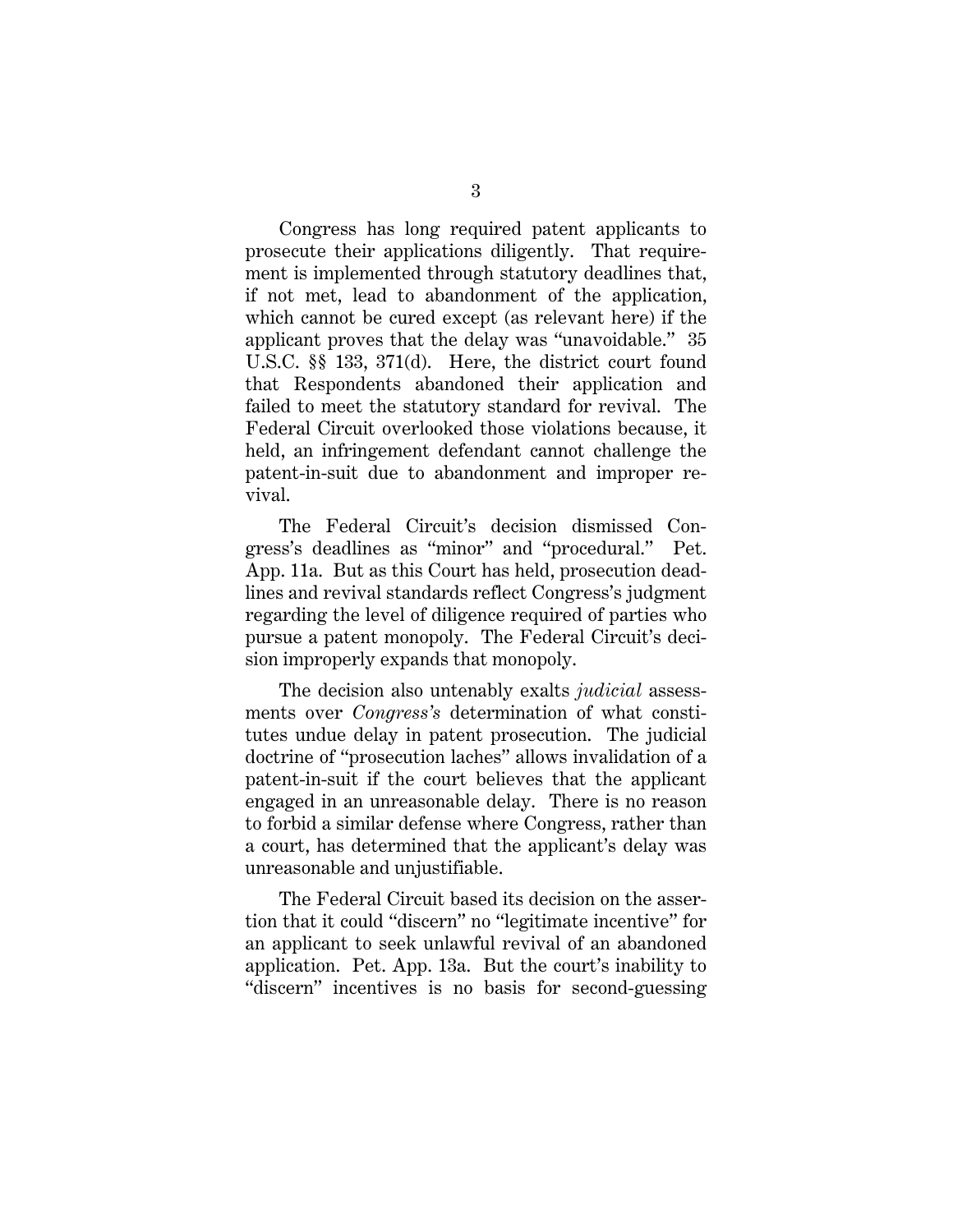Congress has long required patent applicants to prosecute their applications diligently. That requirement is implemented through statutory deadlines that, if not met, lead to abandonment of the application, which cannot be cured except (as relevant here) if the applicant proves that the delay was "unavoidable." 35 U.S.C. §§ 133, 371(d). Here, the district court found that Respondents abandoned their application and failed to meet the statutory standard for revival. The Federal Circuit overlooked those violations because, it held, an infringement defendant cannot challenge the patent-in-suit due to abandonment and improper revival.

The Federal Circuit's decision dismissed Congress's deadlines as "minor" and "procedural." Pet. App. 11a. But as this Court has held, prosecution deadlines and revival standards reflect Congress's judgment regarding the level of diligence required of parties who pursue a patent monopoly. The Federal Circuit's decision improperly expands that monopoly.

The decision also untenably exalts *judicial* assessments over *Congress's* determination of what constitutes undue delay in patent prosecution. The judicial doctrine of "prosecution laches" allows invalidation of a patent-in-suit if the court believes that the applicant engaged in an unreasonable delay. There is no reason to forbid a similar defense where Congress, rather than a court, has determined that the applicant's delay was unreasonable and unjustifiable.

The Federal Circuit based its decision on the assertion that it could "discern" no "legitimate incentive" for an applicant to seek unlawful revival of an abandoned application. Pet. App. 13a. But the court's inability to "discern" incentives is no basis for second-guessing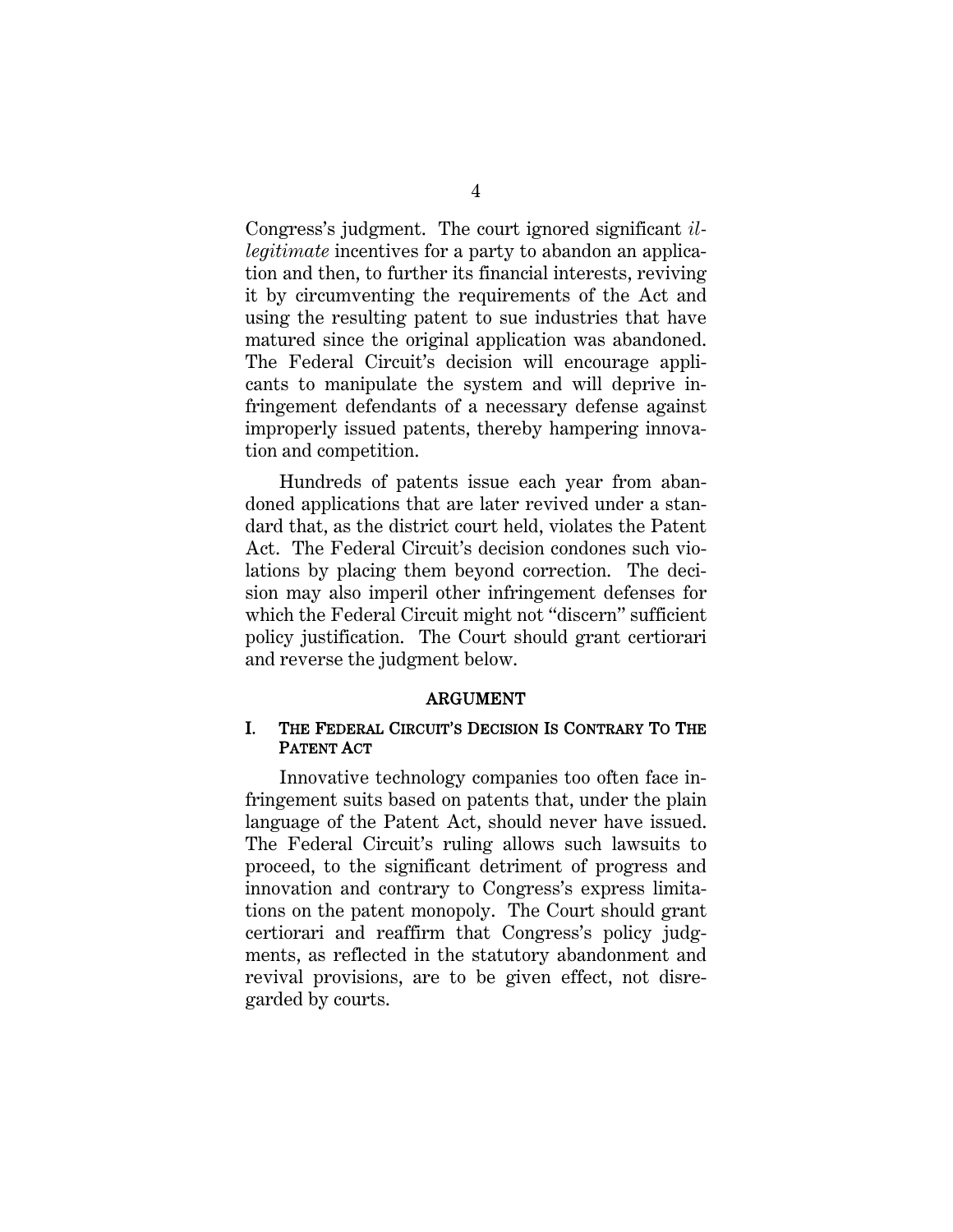Congress's judgment. The court ignored significant *illegitimate* incentives for a party to abandon an application and then, to further its financial interests, reviving it by circumventing the requirements of the Act and using the resulting patent to sue industries that have matured since the original application was abandoned. The Federal Circuit's decision will encourage applicants to manipulate the system and will deprive infringement defendants of a necessary defense against improperly issued patents, thereby hampering innovation and competition.

Hundreds of patents issue each year from abandoned applications that are later revived under a standard that, as the district court held, violates the Patent Act. The Federal Circuit's decision condones such violations by placing them beyond correction. The decision may also imperil other infringement defenses for which the Federal Circuit might not "discern" sufficient policy justification. The Court should grant certiorari and reverse the judgment below.

#### ARGUMENT

## I. THE FEDERAL CIRCUIT'S DECISION IS CONTRARY TO THE PATENT ACT

Innovative technology companies too often face infringement suits based on patents that, under the plain language of the Patent Act, should never have issued. The Federal Circuit's ruling allows such lawsuits to proceed, to the significant detriment of progress and innovation and contrary to Congress's express limitations on the patent monopoly. The Court should grant certiorari and reaffirm that Congress's policy judgments, as reflected in the statutory abandonment and revival provisions, are to be given effect, not disregarded by courts.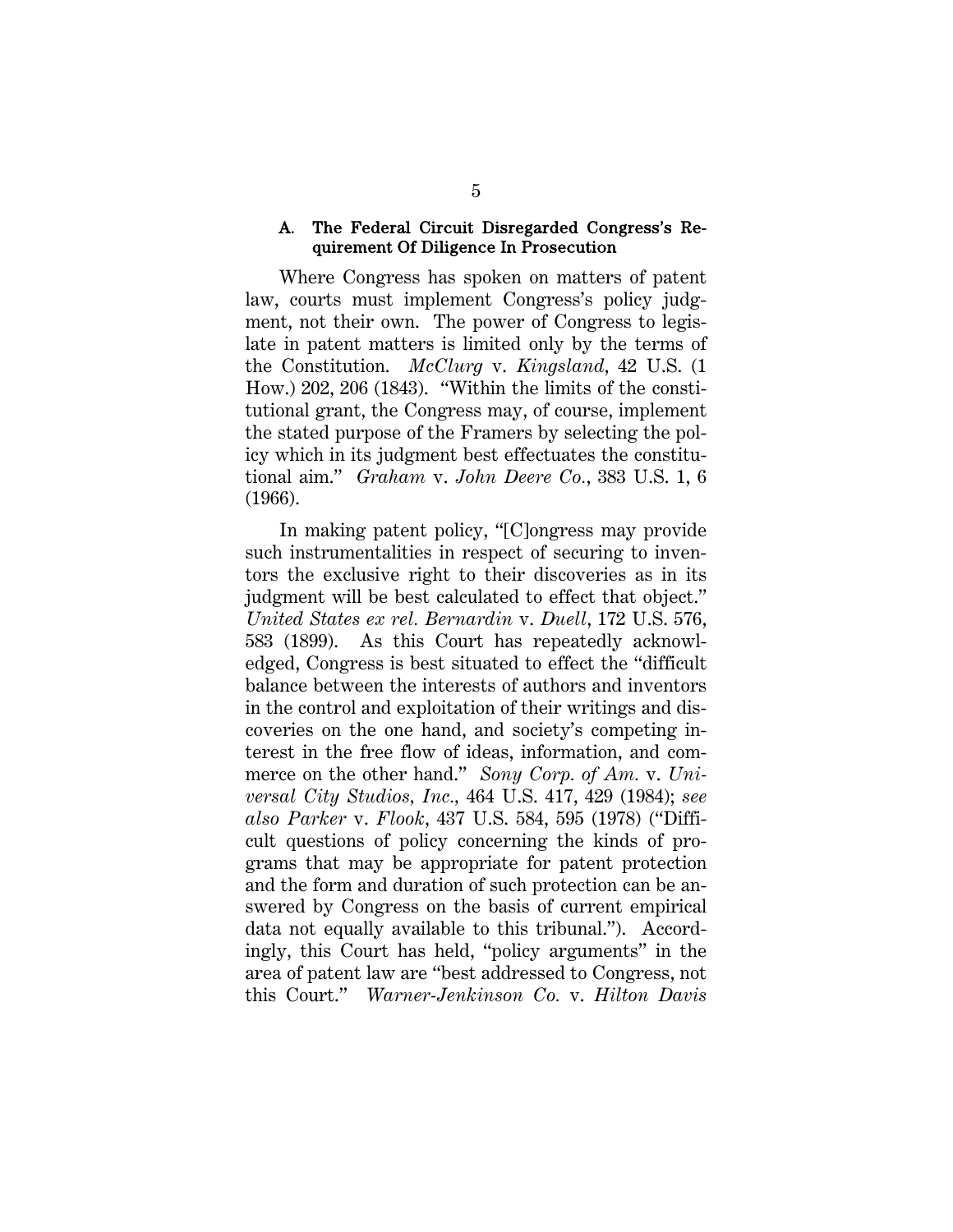#### A. The Federal Circuit Disregarded Congress's Requirement Of Diligence In Prosecution

Where Congress has spoken on matters of patent law, courts must implement Congress's policy judgment, not their own. The power of Congress to legislate in patent matters is limited only by the terms of the Constitution. *McClurg* v. *Kingsland*, 42 U.S. (1 How.) 202, 206 (1843). "Within the limits of the constitutional grant, the Congress may, of course, implement the stated purpose of the Framers by selecting the policy which in its judgment best effectuates the constitutional aim." *Graham* v. *John Deere Co.*, 383 U.S. 1, 6 (1966).

In making patent policy, "[C]ongress may provide such instrumentalities in respect of securing to inventors the exclusive right to their discoveries as in its judgment will be best calculated to effect that object." *United States ex rel. Bernardin* v. *Duell*, 172 U.S. 576, 583 (1899). As this Court has repeatedly acknowledged, Congress is best situated to effect the "difficult balance between the interests of authors and inventors in the control and exploitation of their writings and discoveries on the one hand, and society's competing interest in the free flow of ideas, information, and commerce on the other hand." *Sony Corp. of Am.* v. *Universal City Studios, Inc.,* 464 U.S. 417, 429 (1984); *see also Parker* v. *Flook*, 437 U.S. 584, 595 (1978) ("Difficult questions of policy concerning the kinds of programs that may be appropriate for patent protection and the form and duration of such protection can be answered by Congress on the basis of current empirical data not equally available to this tribunal."). Accordingly, this Court has held, "policy arguments" in the area of patent law are "best addressed to Congress, not this Court." *Warner-Jenkinson Co.* v. *Hilton Davis*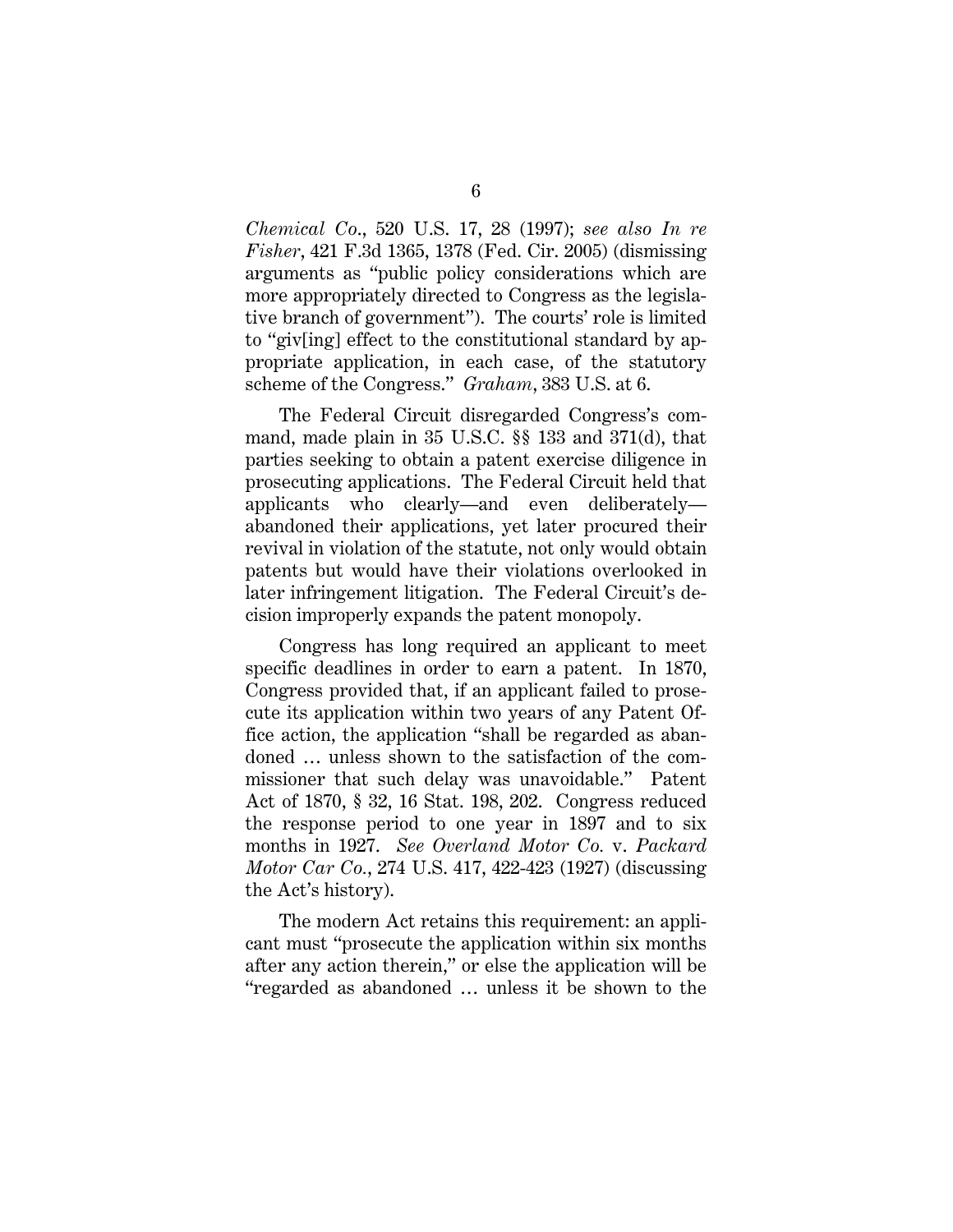*Chemical Co*., 520 U.S. 17, 28 (1997); *see also In re Fisher*, 421 F.3d 1365, 1378 (Fed. Cir. 2005) (dismissing arguments as "public policy considerations which are more appropriately directed to Congress as the legislative branch of government"). The courts' role is limited to "giv[ing] effect to the constitutional standard by appropriate application, in each case, of the statutory scheme of the Congress." *Graham*, 383 U.S. at 6.

The Federal Circuit disregarded Congress's command, made plain in 35 U.S.C. §§ 133 and 371(d), that parties seeking to obtain a patent exercise diligence in prosecuting applications. The Federal Circuit held that applicants who clearly—and even deliberately abandoned their applications, yet later procured their revival in violation of the statute, not only would obtain patents but would have their violations overlooked in later infringement litigation. The Federal Circuit's decision improperly expands the patent monopoly.

Congress has long required an applicant to meet specific deadlines in order to earn a patent. In 1870, Congress provided that, if an applicant failed to prosecute its application within two years of any Patent Office action, the application "shall be regarded as abandoned … unless shown to the satisfaction of the commissioner that such delay was unavoidable." Patent Act of 1870, § 32, 16 Stat. 198, 202. Congress reduced the response period to one year in 1897 and to six months in 1927. *See Overland Motor Co.* v. *Packard Motor Car Co.*, 274 U.S. 417, 422-423 (1927) (discussing the Act's history).

The modern Act retains this requirement: an applicant must "prosecute the application within six months after any action therein," or else the application will be "regarded as abandoned … unless it be shown to the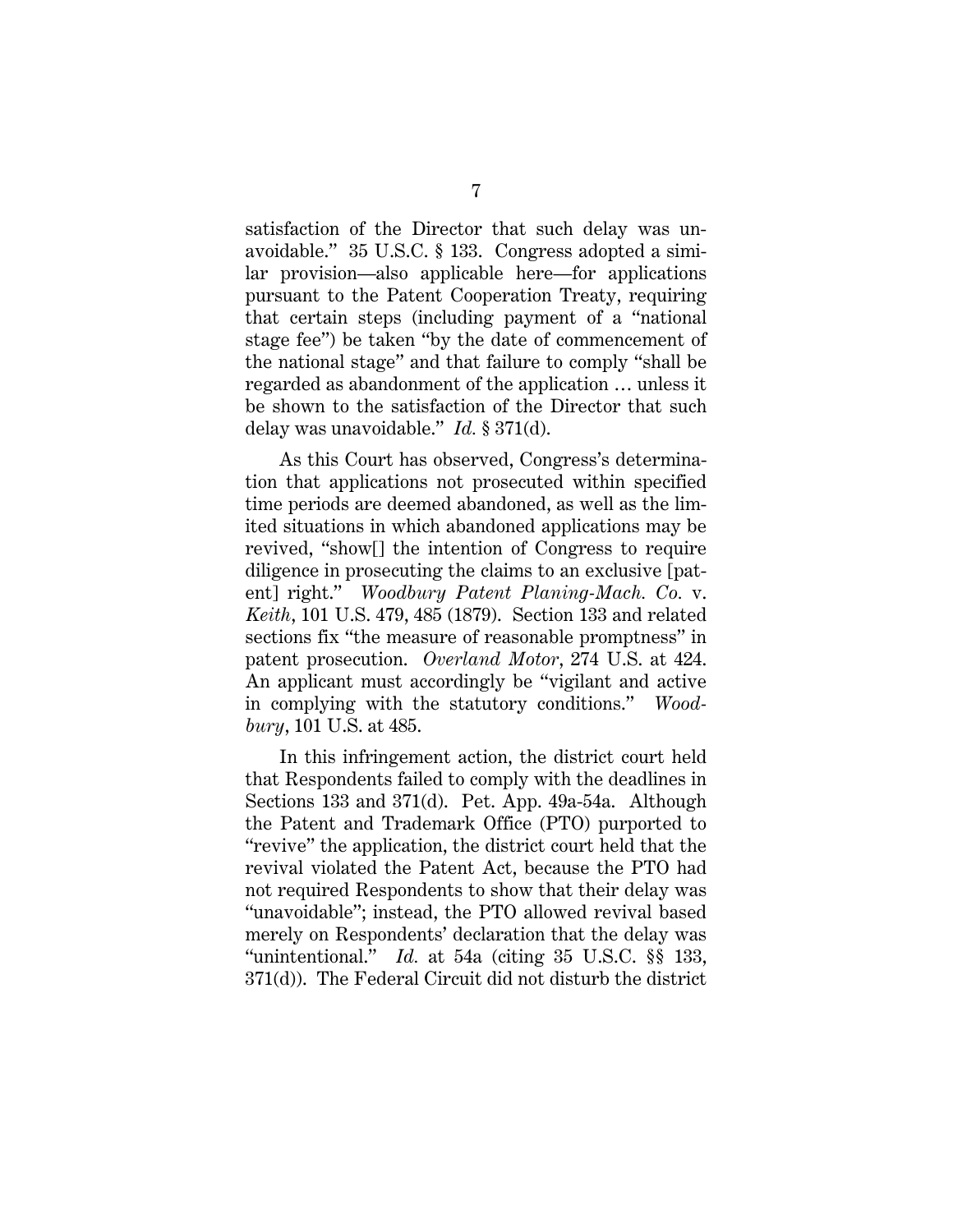satisfaction of the Director that such delay was unavoidable." 35 U.S.C. § 133. Congress adopted a similar provision—also applicable here—for applications pursuant to the Patent Cooperation Treaty, requiring that certain steps (including payment of a "national stage fee") be taken "by the date of commencement of the national stage" and that failure to comply "shall be regarded as abandonment of the application … unless it be shown to the satisfaction of the Director that such delay was unavoidable." *Id.* § 371(d).

As this Court has observed, Congress's determination that applications not prosecuted within specified time periods are deemed abandoned, as well as the limited situations in which abandoned applications may be revived, "show[] the intention of Congress to require diligence in prosecuting the claims to an exclusive [patent] right." *Woodbury Patent Planing-Mach. Co.* v. *Keith*, 101 U.S. 479, 485 (1879). Section 133 and related sections fix "the measure of reasonable promptness" in patent prosecution. *Overland Motor*, 274 U.S. at 424. An applicant must accordingly be "vigilant and active in complying with the statutory conditions." *Woodbury*, 101 U.S. at 485.

In this infringement action, the district court held that Respondents failed to comply with the deadlines in Sections 133 and 371(d). Pet. App. 49a-54a. Although the Patent and Trademark Office (PTO) purported to "revive" the application, the district court held that the revival violated the Patent Act, because the PTO had not required Respondents to show that their delay was "unavoidable"; instead, the PTO allowed revival based merely on Respondents' declaration that the delay was "unintentional." *Id.* at 54a (citing 35 U.S.C. §§ 133, 371(d)). The Federal Circuit did not disturb the district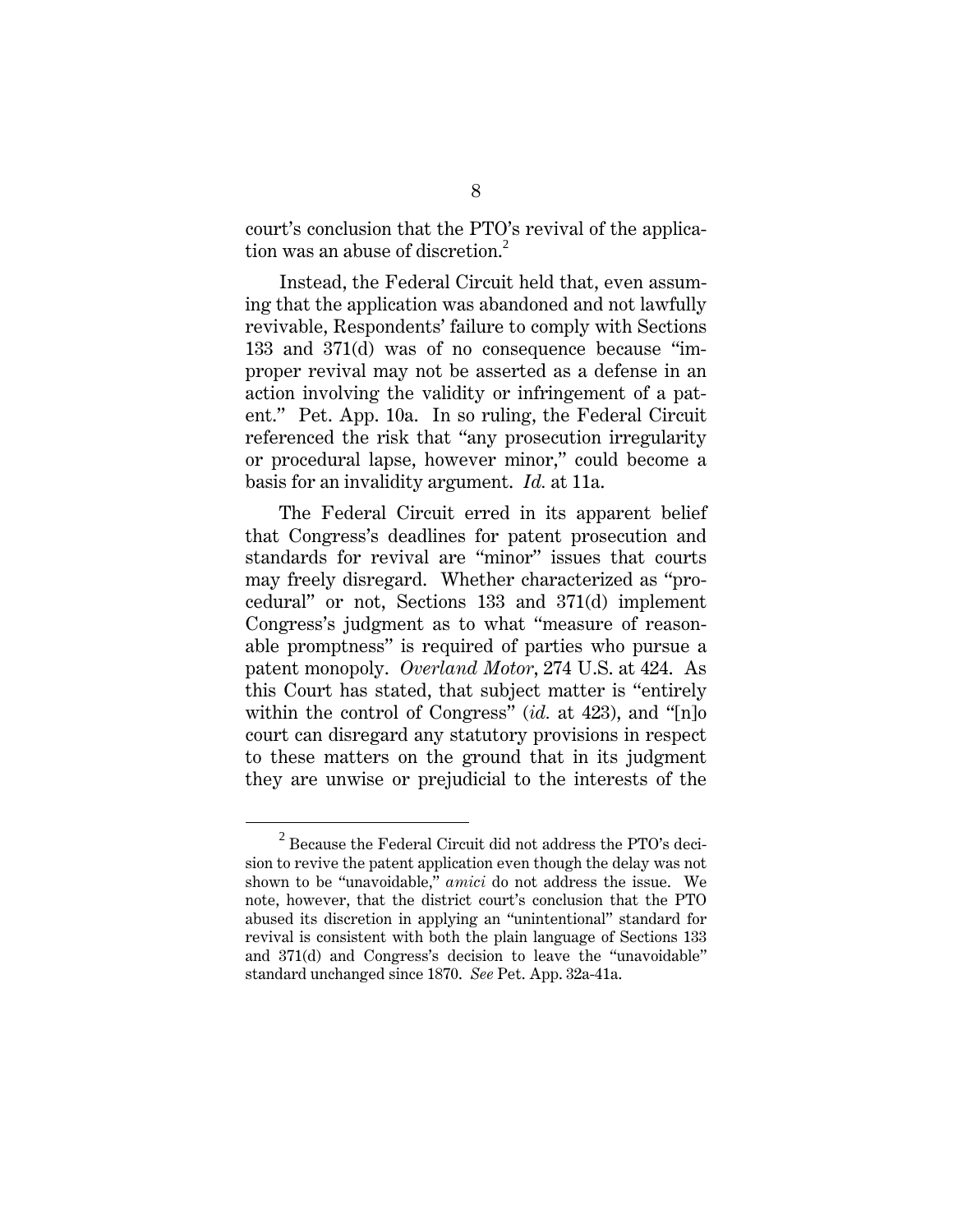court's conclusion that the PTO's revival of the application was an abuse of discretion.<sup>2</sup>

Instead, the Federal Circuit held that, even assuming that the application was abandoned and not lawfully revivable, Respondents' failure to comply with Sections 133 and 371(d) was of no consequence because "improper revival may not be asserted as a defense in an action involving the validity or infringement of a patent." Pet. App. 10a. In so ruling, the Federal Circuit referenced the risk that "any prosecution irregularity or procedural lapse, however minor," could become a basis for an invalidity argument. *Id.* at 11a.

The Federal Circuit erred in its apparent belief that Congress's deadlines for patent prosecution and standards for revival are "minor" issues that courts may freely disregard. Whether characterized as "procedural" or not, Sections 133 and 371(d) implement Congress's judgment as to what "measure of reasonable promptness" is required of parties who pursue a patent monopoly. *Overland Motor*, 274 U.S. at 424. As this Court has stated, that subject matter is "entirely within the control of Congress" (*id.* at 423), and "[n]o court can disregard any statutory provisions in respect to these matters on the ground that in its judgment they are unwise or prejudicial to the interests of the

<sup>2</sup>  $^{2}$  Because the Federal Circuit did not address the PTO's decision to revive the patent application even though the delay was not shown to be "unavoidable," *amici* do not address the issue. We note, however, that the district court's conclusion that the PTO abused its discretion in applying an "unintentional" standard for revival is consistent with both the plain language of Sections 133 and 371(d) and Congress's decision to leave the "unavoidable" standard unchanged since 1870. *See* Pet. App. 32a-41a.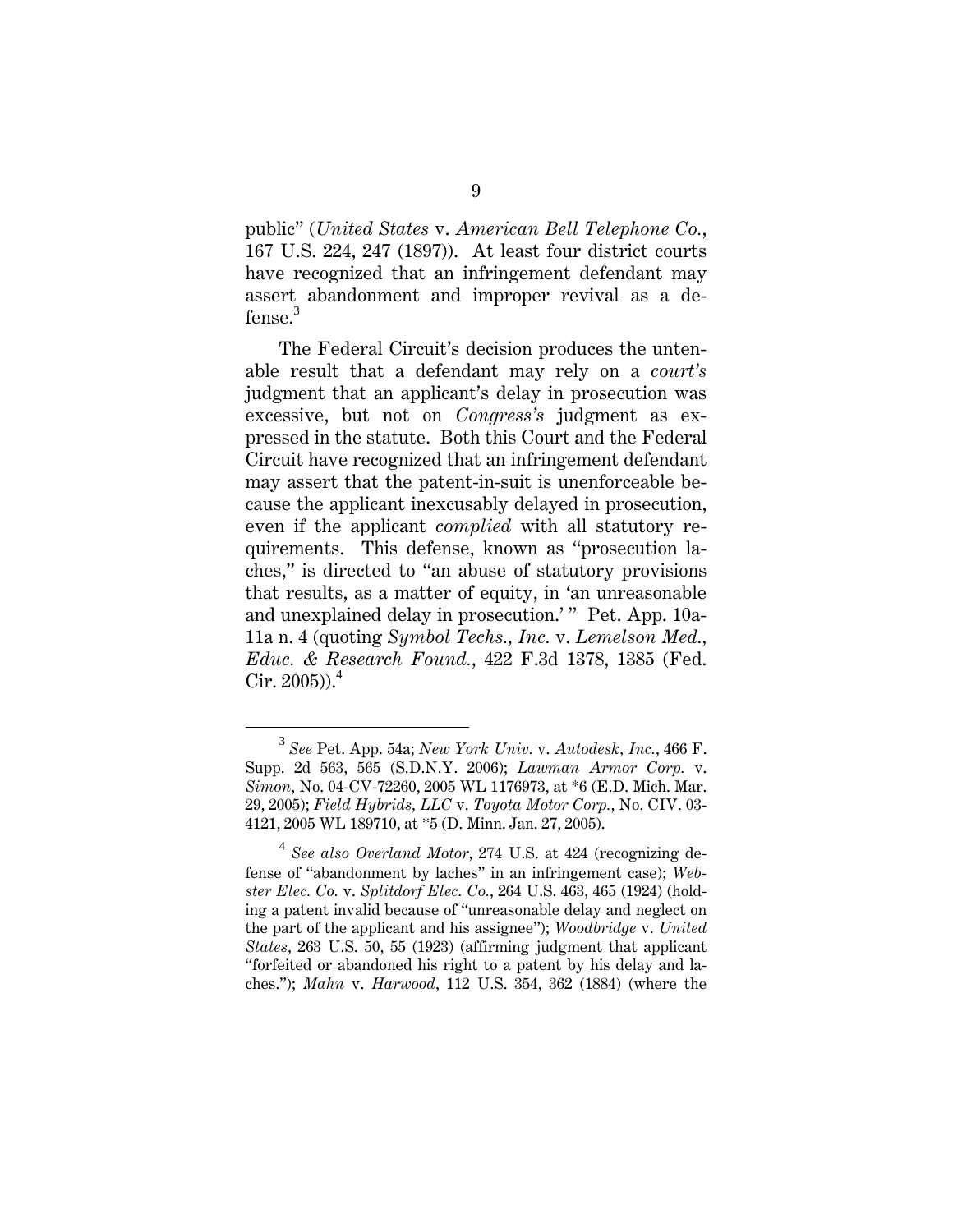public" (*United States* v. *American Bell Telephone Co.*, 167 U.S. 224, 247 (1897)). At least four district courts have recognized that an infringement defendant may assert abandonment and improper revival as a defense. $3$ 

The Federal Circuit's decision produces the untenable result that a defendant may rely on a *court's*  judgment that an applicant's delay in prosecution was excessive, but not on *Congress's* judgment as expressed in the statute. Both this Court and the Federal Circuit have recognized that an infringement defendant may assert that the patent-in-suit is unenforceable because the applicant inexcusably delayed in prosecution, even if the applicant *complied* with all statutory requirements. This defense, known as "prosecution laches," is directed to "an abuse of statutory provisions that results, as a matter of equity, in 'an unreasonable and unexplained delay in prosecution.'" Pet. App. 10a-11a n. 4 (quoting *Symbol Techs., Inc.* v. *Lemelson Med., Educ. & Research Found.*, 422 F.3d 1378, 1385 (Fed. Cir.  $2005$ )).<sup>4</sup>

<sup>3</sup>  *See* Pet. App. 54a; *New York Univ.* v. *Autodesk, Inc.*, 466 F. Supp. 2d 563, 565 (S.D.N.Y. 2006); *Lawman Armor Corp.* v. *Simon*, No. 04-CV-72260, 2005 WL 1176973, at \*6 (E.D. Mich. Mar. 29, 2005); *Field Hybrids, LLC* v. *Toyota Motor Corp.*, No. CIV. 03- 4121, 2005 WL 189710, at \*5 (D. Minn. Jan. 27, 2005).

<sup>4</sup> *See also Overland Motor*, 274 U.S. at 424 (recognizing defense of "abandonment by laches" in an infringement case); *Webster Elec. Co.* v. *Splitdorf Elec. Co.*, 264 U.S. 463, 465 (1924) (holding a patent invalid because of "unreasonable delay and neglect on the part of the applicant and his assignee"); *Woodbridge* v. *United States*, 263 U.S. 50, 55 (1923) (affirming judgment that applicant "forfeited or abandoned his right to a patent by his delay and laches."); *Mahn* v. *Harwood*, 112 U.S. 354, 362 (1884) (where the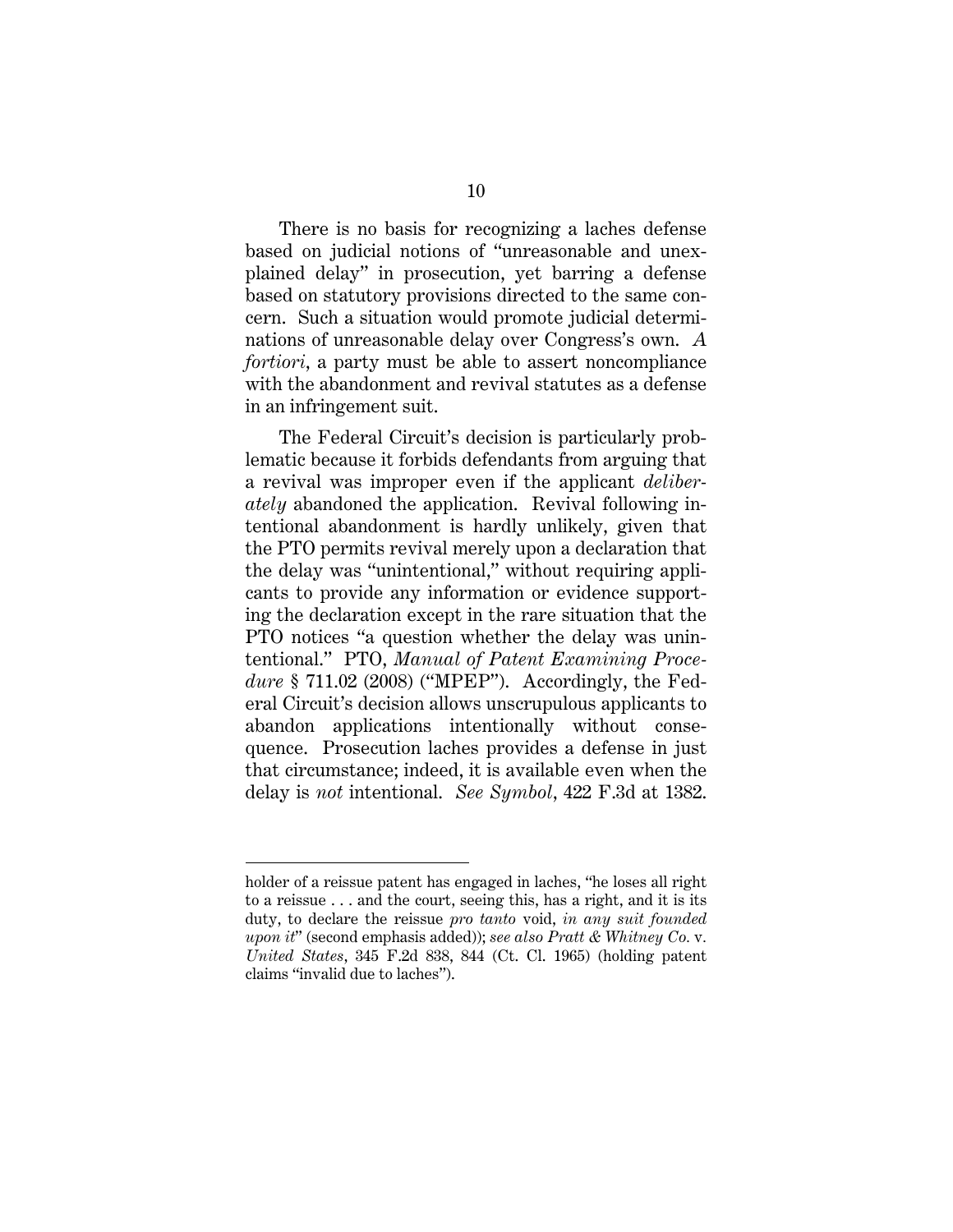There is no basis for recognizing a laches defense based on judicial notions of "unreasonable and unexplained delay" in prosecution, yet barring a defense based on statutory provisions directed to the same concern. Such a situation would promote judicial determinations of unreasonable delay over Congress's own. *A fortiori*, a party must be able to assert noncompliance with the abandonment and revival statutes as a defense in an infringement suit.

The Federal Circuit's decision is particularly problematic because it forbids defendants from arguing that a revival was improper even if the applicant *deliberately* abandoned the application. Revival following intentional abandonment is hardly unlikely, given that the PTO permits revival merely upon a declaration that the delay was "unintentional," without requiring applicants to provide any information or evidence supporting the declaration except in the rare situation that the PTO notices "a question whether the delay was unintentional." PTO, *Manual of Patent Examining Procedure* § 711.02 (2008) ("MPEP"). Accordingly, the Federal Circuit's decision allows unscrupulous applicants to abandon applications intentionally without consequence. Prosecution laches provides a defense in just that circumstance; indeed, it is available even when the delay is *not* intentional. *See Symbol*, 422 F.3d at 1382.

 $\overline{a}$ 

holder of a reissue patent has engaged in laches, "he loses all right to a reissue . . . and the court, seeing this, has a right, and it is its duty, to declare the reissue *pro tanto* void, *in any suit founded upon it*" (second emphasis added)); *see also Pratt & Whitney Co.* v*. United States*, 345 F.2d 838, 844 (Ct. Cl. 1965) (holding patent claims "invalid due to laches").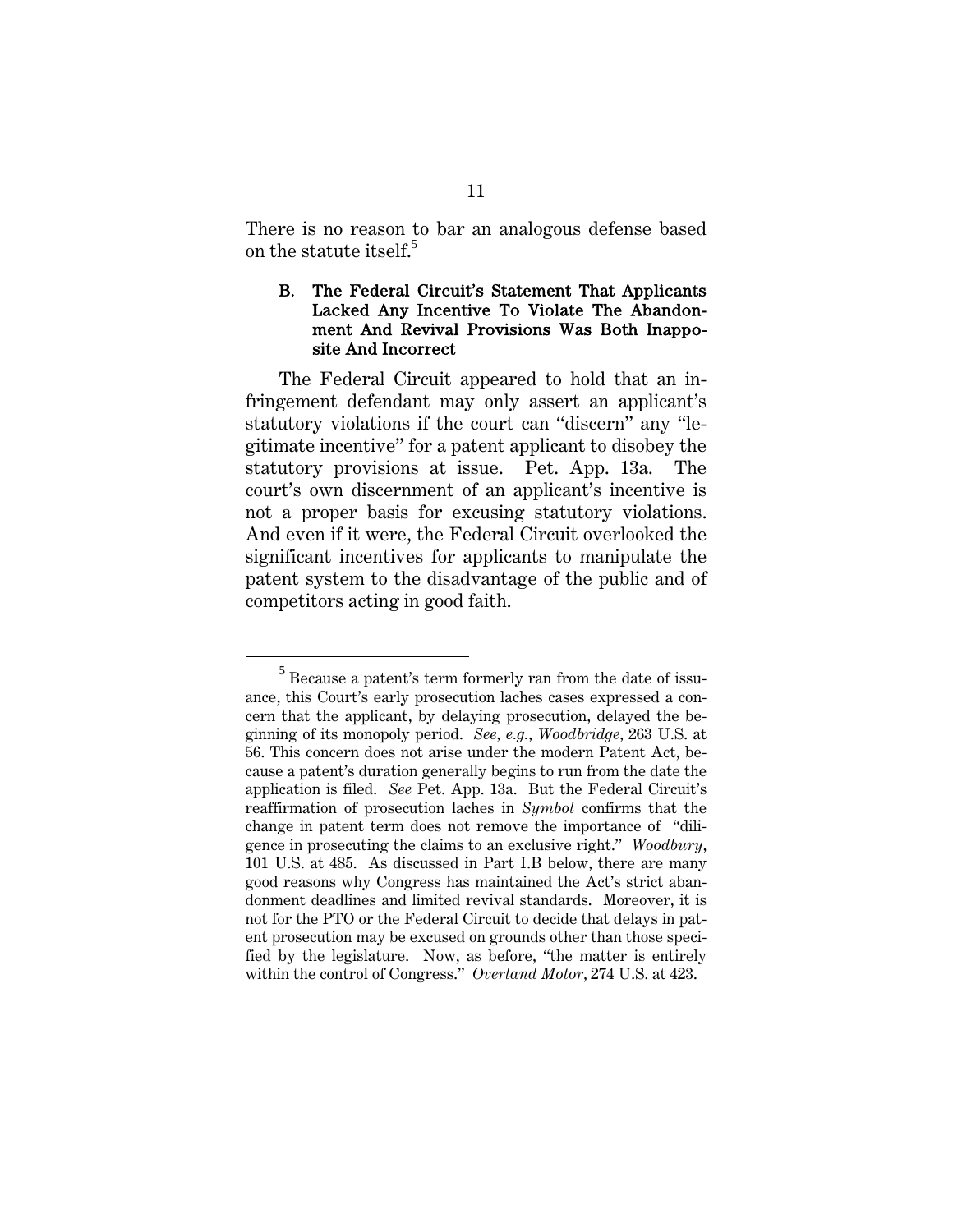There is no reason to bar an analogous defense based on the statute itself.<sup>5</sup>

### B. The Federal Circuit's Statement That Applicants Lacked Any Incentive To Violate The Abandonment And Revival Provisions Was Both Inapposite And Incorrect

The Federal Circuit appeared to hold that an infringement defendant may only assert an applicant's statutory violations if the court can "discern" any "legitimate incentive" for a patent applicant to disobey the statutory provisions at issue. Pet. App. 13a. The court's own discernment of an applicant's incentive is not a proper basis for excusing statutory violations. And even if it were, the Federal Circuit overlooked the significant incentives for applicants to manipulate the patent system to the disadvantage of the public and of competitors acting in good faith.

 $rac{1}{5}$  $^5$  Because a patent's term formerly ran from the date of issuance, this Court's early prosecution laches cases expressed a concern that the applicant, by delaying prosecution, delayed the beginning of its monopoly period. *See, e.g.*, *Woodbridge*, 263 U.S. at 56. This concern does not arise under the modern Patent Act, because a patent's duration generally begins to run from the date the application is filed. *See* Pet. App. 13a. But the Federal Circuit's reaffirmation of prosecution laches in *Symbol* confirms that the change in patent term does not remove the importance of "diligence in prosecuting the claims to an exclusive right." *Woodbury*, 101 U.S. at 485. As discussed in Part I.B below, there are many good reasons why Congress has maintained the Act's strict abandonment deadlines and limited revival standards. Moreover, it is not for the PTO or the Federal Circuit to decide that delays in patent prosecution may be excused on grounds other than those specified by the legislature. Now, as before, "the matter is entirely within the control of Congress." *Overland Motor*, 274 U.S. at 423.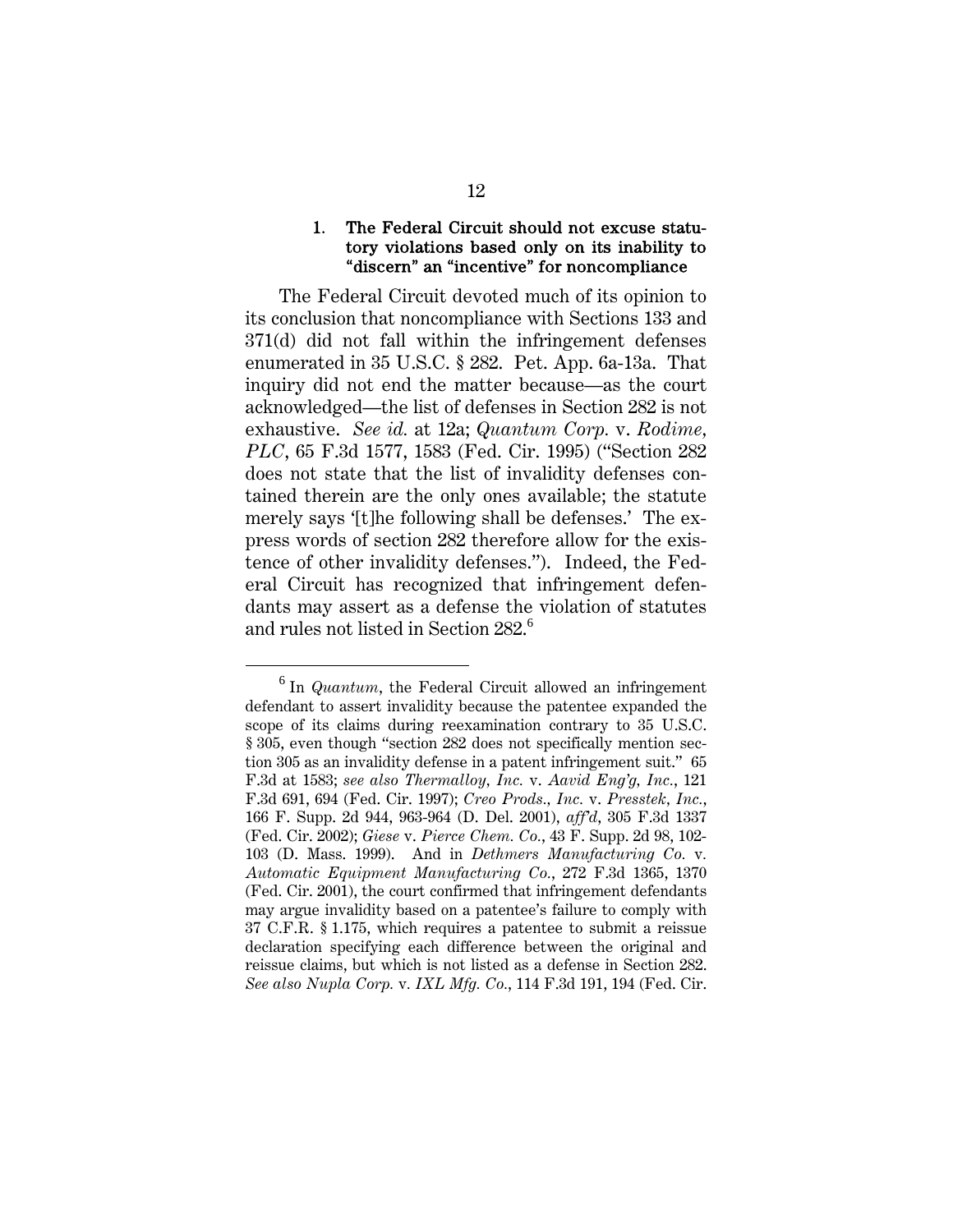#### 1. The Federal Circuit should not excuse statutory violations based only on its inability to "discern" an "incentive" for noncompliance

The Federal Circuit devoted much of its opinion to its conclusion that noncompliance with Sections 133 and 371(d) did not fall within the infringement defenses enumerated in 35 U.S.C. § 282. Pet. App. 6a-13a. That inquiry did not end the matter because—as the court acknowledged—the list of defenses in Section 282 is not exhaustive. *See id.* at 12a; *Quantum Corp.* v. *Rodime, PLC*, 65 F.3d 1577, 1583 (Fed. Cir. 1995) ("Section 282 does not state that the list of invalidity defenses contained therein are the only ones available; the statute merely says '[t]he following shall be defenses.' The express words of section 282 therefore allow for the existence of other invalidity defenses."). Indeed, the Federal Circuit has recognized that infringement defendants may assert as a defense the violation of statutes and rules not listed in Section 282.<sup>6</sup>

 $\overline{\phantom{0}}$  $<sup>6</sup>$  In *Quantum*, the Federal Circuit allowed an infringement</sup> defendant to assert invalidity because the patentee expanded the scope of its claims during reexamination contrary to 35 U.S.C. § 305, even though "section 282 does not specifically mention section 305 as an invalidity defense in a patent infringement suit." 65 F.3d at 1583; *see also Thermalloy, Inc.* v. *Aavid Eng'g, Inc.*, 121 F.3d 691, 694 (Fed. Cir. 1997); *Creo Prods., Inc.* v. *Presstek, Inc.*, 166 F. Supp. 2d 944, 963-964 (D. Del. 2001), *aff'd*, 305 F.3d 1337 (Fed. Cir. 2002); *Giese* v. *Pierce Chem. Co.*, 43 F. Supp. 2d 98, 102- 103 (D. Mass. 1999). And in *Dethmers Manufacturing Co.* v*. Automatic Equipment Manufacturing Co.*, 272 F.3d 1365, 1370 (Fed. Cir. 2001), the court confirmed that infringement defendants may argue invalidity based on a patentee's failure to comply with 37 C.F.R. § 1.175, which requires a patentee to submit a reissue declaration specifying each difference between the original and reissue claims, but which is not listed as a defense in Section 282. *See also Nupla Corp.* v*. IXL Mfg. Co.*, 114 F.3d 191, 194 (Fed. Cir.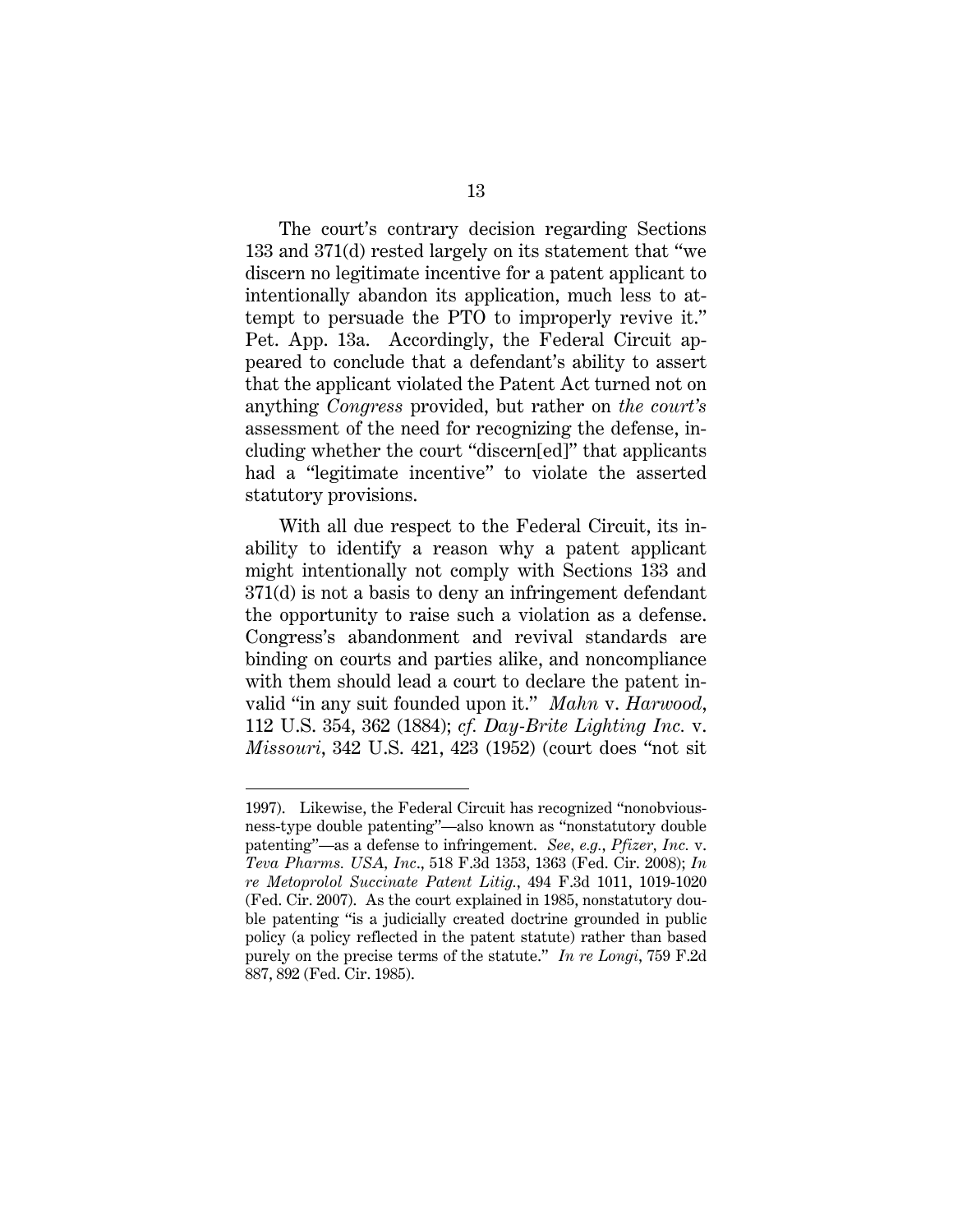The court's contrary decision regarding Sections 133 and 371(d) rested largely on its statement that "we discern no legitimate incentive for a patent applicant to intentionally abandon its application, much less to attempt to persuade the PTO to improperly revive it." Pet. App. 13a. Accordingly, the Federal Circuit appeared to conclude that a defendant's ability to assert that the applicant violated the Patent Act turned not on anything *Congress* provided, but rather on *the court's*  assessment of the need for recognizing the defense, including whether the court "discern[ed]" that applicants had a "legitimate incentive" to violate the asserted statutory provisions.

With all due respect to the Federal Circuit, its inability to identify a reason why a patent applicant might intentionally not comply with Sections 133 and 371(d) is not a basis to deny an infringement defendant the opportunity to raise such a violation as a defense. Congress's abandonment and revival standards are binding on courts and parties alike, and noncompliance with them should lead a court to declare the patent invalid "in any suit founded upon it." *Mahn* v. *Harwood*, 112 U.S. 354, 362 (1884); *cf. Day-Brite Lighting Inc.* v. *Missouri*, 342 U.S. 421, 423 (1952) (court does "not sit

 $\overline{a}$ 

<sup>1997).</sup> Likewise, the Federal Circuit has recognized "nonobviousness-type double patenting"—also known as "nonstatutory double patenting"—as a defense to infringement. *See, e.g.*, *Pfizer, Inc.* v. *Teva Pharms. USA, Inc*., 518 F.3d 1353, 1363 (Fed. Cir. 2008); *In re Metoprolol Succinate Patent Litig.*, 494 F.3d 1011, 1019-1020 (Fed. Cir. 2007). As the court explained in 1985, nonstatutory double patenting "is a judicially created doctrine grounded in public policy (a policy reflected in the patent statute) rather than based purely on the precise terms of the statute." *In re Longi*, 759 F.2d 887, 892 (Fed. Cir. 1985).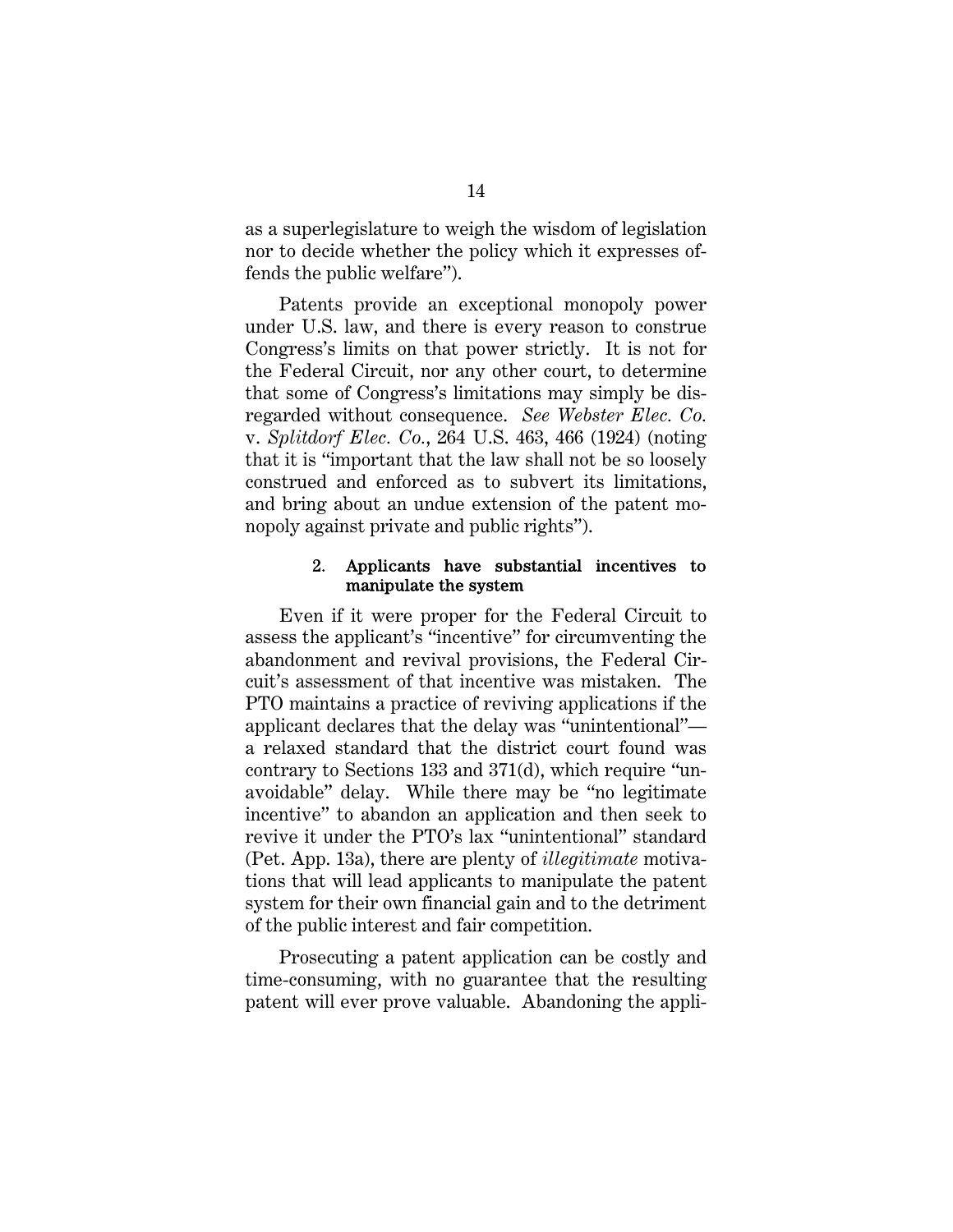as a superlegislature to weigh the wisdom of legislation nor to decide whether the policy which it expresses offends the public welfare").

Patents provide an exceptional monopoly power under U.S. law, and there is every reason to construe Congress's limits on that power strictly. It is not for the Federal Circuit, nor any other court, to determine that some of Congress's limitations may simply be disregarded without consequence. *See Webster Elec. Co.*  v. *Splitdorf Elec. Co.*, 264 U.S. 463, 466 (1924) (noting that it is "important that the law shall not be so loosely construed and enforced as to subvert its limitations, and bring about an undue extension of the patent monopoly against private and public rights").

#### 2. Applicants have substantial incentives to manipulate the system

Even if it were proper for the Federal Circuit to assess the applicant's "incentive" for circumventing the abandonment and revival provisions, the Federal Circuit's assessment of that incentive was mistaken. The PTO maintains a practice of reviving applications if the applicant declares that the delay was "unintentional" a relaxed standard that the district court found was contrary to Sections 133 and 371(d), which require "unavoidable" delay. While there may be "no legitimate incentive" to abandon an application and then seek to revive it under the PTO's lax "unintentional" standard (Pet. App. 13a), there are plenty of *illegitimate* motivations that will lead applicants to manipulate the patent system for their own financial gain and to the detriment of the public interest and fair competition.

 Prosecuting a patent application can be costly and time-consuming, with no guarantee that the resulting patent will ever prove valuable. Abandoning the appli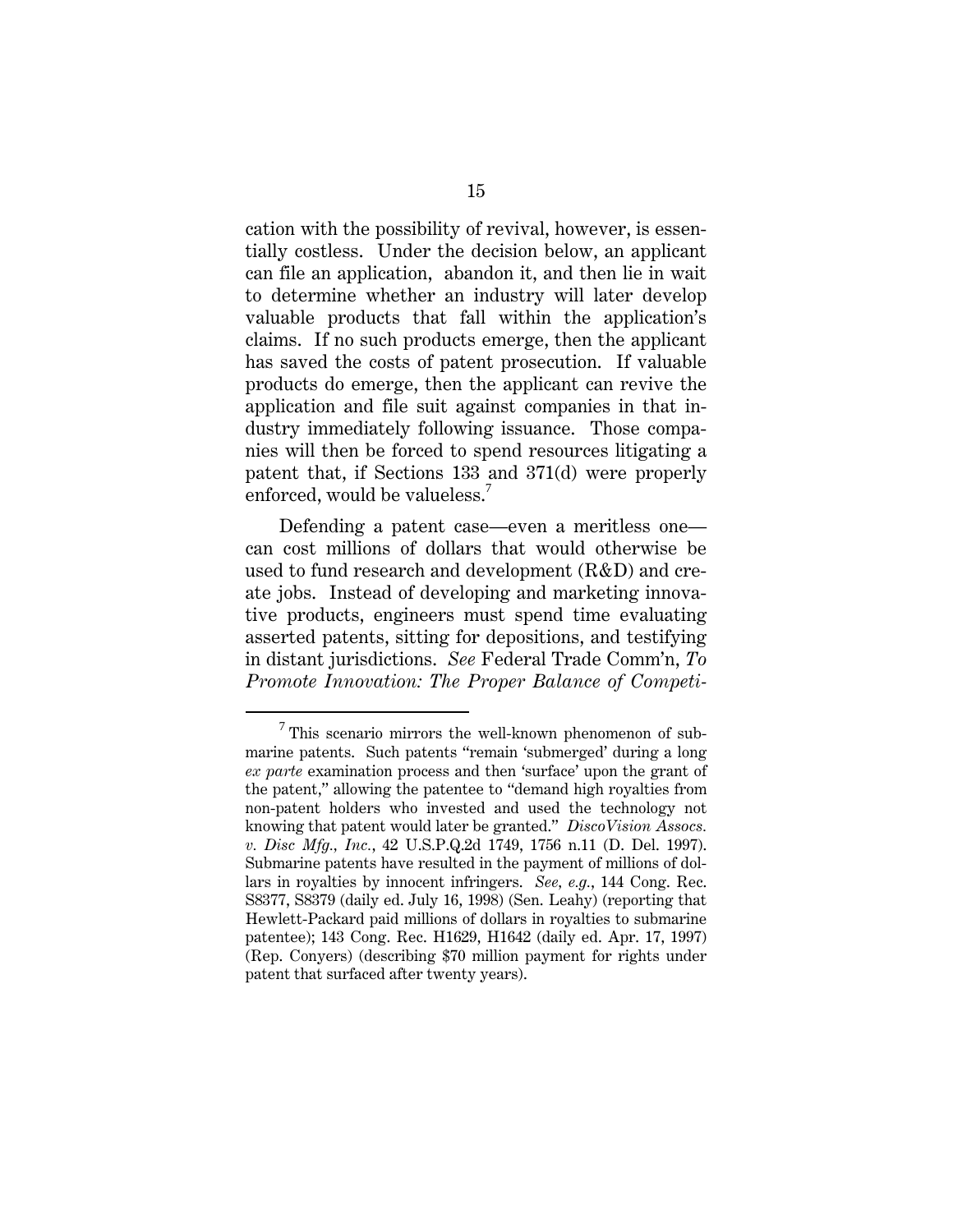cation with the possibility of revival, however, is essentially costless. Under the decision below, an applicant can file an application, abandon it, and then lie in wait to determine whether an industry will later develop valuable products that fall within the application's claims. If no such products emerge, then the applicant has saved the costs of patent prosecution. If valuable products do emerge, then the applicant can revive the application and file suit against companies in that industry immediately following issuance. Those companies will then be forced to spend resources litigating a patent that, if Sections 133 and 371(d) were properly enforced, would be valueless.<sup>7</sup>

Defending a patent case—even a meritless one can cost millions of dollars that would otherwise be used to fund research and development (R&D) and create jobs. Instead of developing and marketing innovative products, engineers must spend time evaluating asserted patents, sitting for depositions, and testifying in distant jurisdictions. *See* Federal Trade Comm'n, *To Promote Innovation: The Proper Balance of Competi-*

 $\overline{7}$  $7$  This scenario mirrors the well-known phenomenon of submarine patents. Such patents "remain 'submerged' during a long *ex parte* examination process and then 'surface' upon the grant of the patent," allowing the patentee to "demand high royalties from non-patent holders who invested and used the technology not knowing that patent would later be granted." *DiscoVision Assocs. v. Disc Mfg., Inc.*, 42 U.S.P.Q.2d 1749, 1756 n.11 (D. Del. 1997). Submarine patents have resulted in the payment of millions of dollars in royalties by innocent infringers. *See, e.g.*, 144 Cong. Rec. S8377, S8379 (daily ed. July 16, 1998) (Sen. Leahy) (reporting that Hewlett-Packard paid millions of dollars in royalties to submarine patentee); 143 Cong. Rec. H1629, H1642 (daily ed. Apr. 17, 1997) (Rep. Conyers) (describing \$70 million payment for rights under patent that surfaced after twenty years).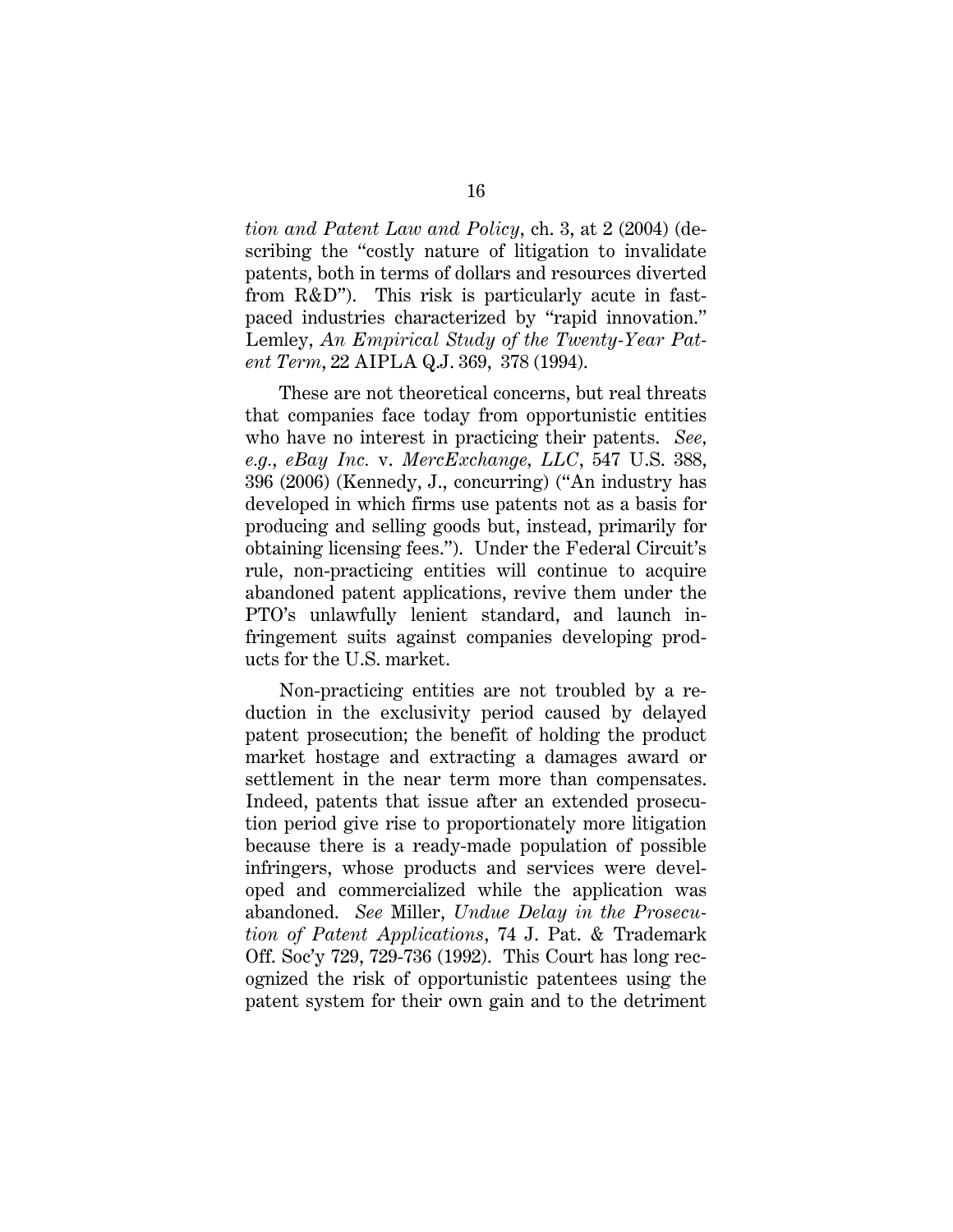*tion and Patent Law and Policy*, ch. 3, at 2 (2004) (describing the "costly nature of litigation to invalidate patents, both in terms of dollars and resources diverted from R&D"). This risk is particularly acute in fastpaced industries characterized by "rapid innovation." Lemley, *An Empirical Study of the Twenty-Year Patent Term*, 22 AIPLA Q.J. 369, 378 (1994).

 These are not theoretical concerns, but real threats that companies face today from opportunistic entities who have no interest in practicing their patents. *See, e.g.*, *eBay Inc.* v. *MercExchange, LLC*, 547 U.S. 388, 396 (2006) (Kennedy, J., concurring) ("An industry has developed in which firms use patents not as a basis for producing and selling goods but, instead, primarily for obtaining licensing fees."). Under the Federal Circuit's rule, non-practicing entities will continue to acquire abandoned patent applications, revive them under the PTO's unlawfully lenient standard, and launch infringement suits against companies developing products for the U.S. market.

 Non-practicing entities are not troubled by a reduction in the exclusivity period caused by delayed patent prosecution; the benefit of holding the product market hostage and extracting a damages award or settlement in the near term more than compensates. Indeed, patents that issue after an extended prosecution period give rise to proportionately more litigation because there is a ready-made population of possible infringers, whose products and services were developed and commercialized while the application was abandoned. *See* Miller, *Undue Delay in the Prosecution of Patent Applications*, 74 J. Pat. & Trademark Off. Soc'y 729, 729-736 (1992). This Court has long recognized the risk of opportunistic patentees using the patent system for their own gain and to the detriment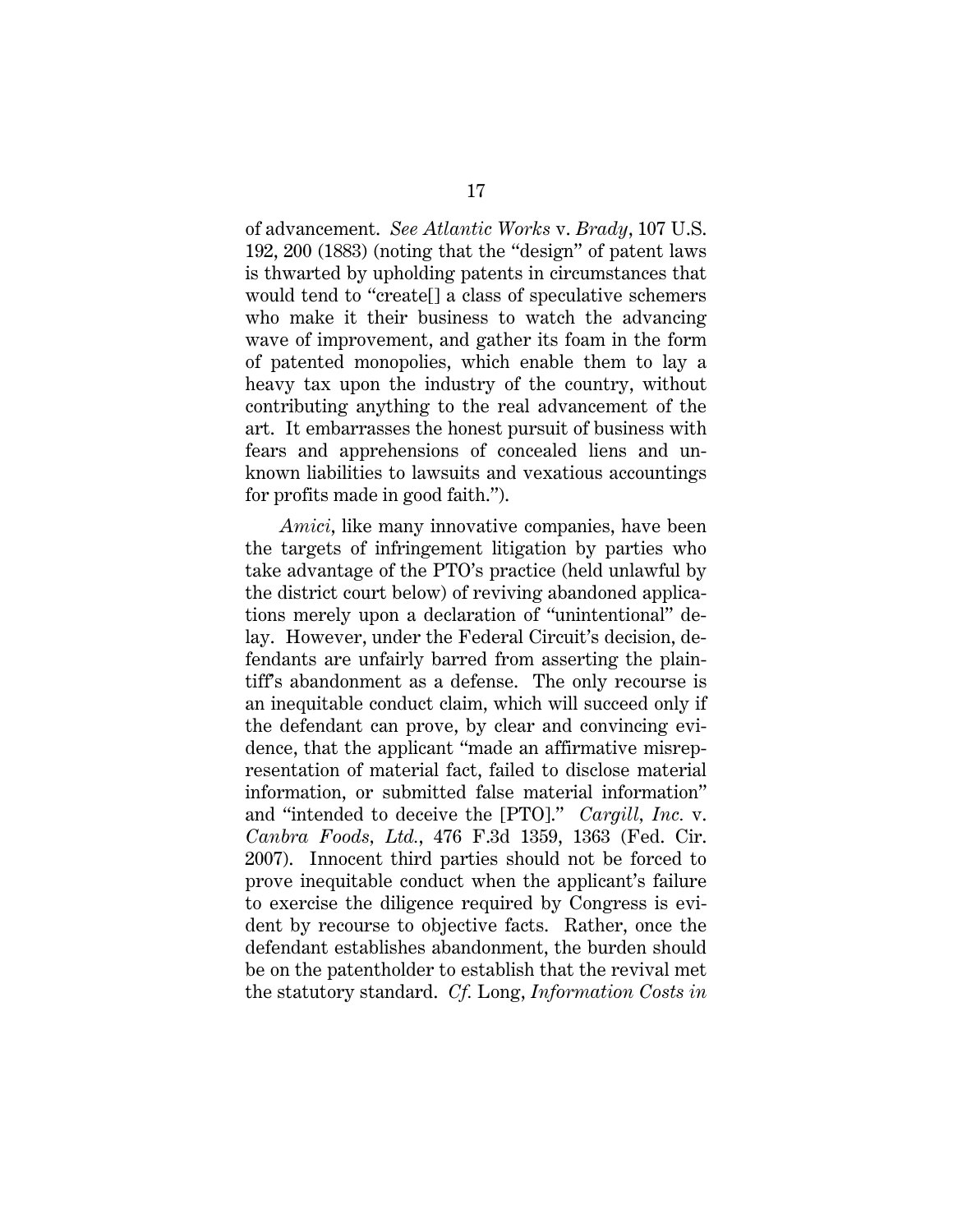of advancement. *See Atlantic Works* v. *Brady*, 107 U.S. 192, 200 (1883) (noting that the "design" of patent laws is thwarted by upholding patents in circumstances that would tend to "create[] a class of speculative schemers who make it their business to watch the advancing wave of improvement, and gather its foam in the form of patented monopolies, which enable them to lay a heavy tax upon the industry of the country, without contributing anything to the real advancement of the art. It embarrasses the honest pursuit of business with fears and apprehensions of concealed liens and unknown liabilities to lawsuits and vexatious accountings for profits made in good faith.").

 *Amici*, like many innovative companies, have been the targets of infringement litigation by parties who take advantage of the PTO's practice (held unlawful by the district court below) of reviving abandoned applications merely upon a declaration of "unintentional" delay. However, under the Federal Circuit's decision, defendants are unfairly barred from asserting the plaintiff's abandonment as a defense. The only recourse is an inequitable conduct claim, which will succeed only if the defendant can prove, by clear and convincing evidence, that the applicant "made an affirmative misrepresentation of material fact, failed to disclose material information, or submitted false material information" and "intended to deceive the [PTO]." *Cargill, Inc.* v. *Canbra Foods, Ltd.*, 476 F.3d 1359, 1363 (Fed. Cir. 2007). Innocent third parties should not be forced to prove inequitable conduct when the applicant's failure to exercise the diligence required by Congress is evident by recourse to objective facts. Rather, once the defendant establishes abandonment, the burden should be on the patentholder to establish that the revival met the statutory standard. *Cf.* Long, *Information Costs in*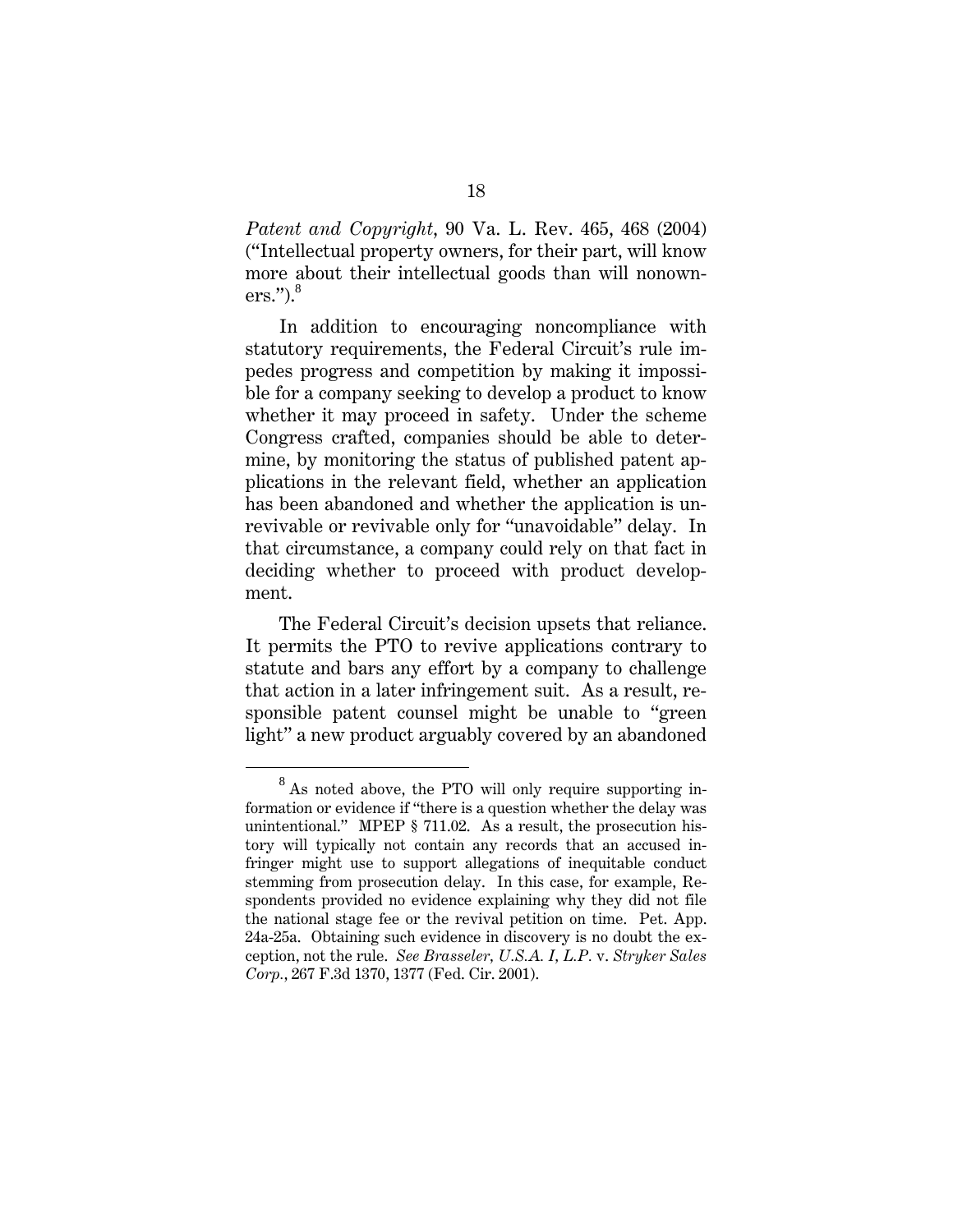*Patent and Copyright*, 90 Va. L. Rev. 465, 468 (2004) ("Intellectual property owners, for their part, will know more about their intellectual goods than will nonowners."). $^8$ 

 In addition to encouraging noncompliance with statutory requirements, the Federal Circuit's rule impedes progress and competition by making it impossible for a company seeking to develop a product to know whether it may proceed in safety. Under the scheme Congress crafted, companies should be able to determine, by monitoring the status of published patent applications in the relevant field, whether an application has been abandoned and whether the application is unrevivable or revivable only for "unavoidable" delay. In that circumstance, a company could rely on that fact in deciding whether to proceed with product development.

 The Federal Circuit's decision upsets that reliance. It permits the PTO to revive applications contrary to statute and bars any effort by a company to challenge that action in a later infringement suit. As a result, responsible patent counsel might be unable to "green light" a new product arguably covered by an abandoned

<sup>8</sup>  $8$  As noted above, the PTO will only require supporting information or evidence if "there is a question whether the delay was unintentional." MPEP § 711.02. As a result, the prosecution history will typically not contain any records that an accused infringer might use to support allegations of inequitable conduct stemming from prosecution delay. In this case, for example, Respondents provided no evidence explaining why they did not file the national stage fee or the revival petition on time. Pet. App. 24a-25a. Obtaining such evidence in discovery is no doubt the exception, not the rule. *See Brasseler, U.S.A. I, L.P.* v. *Stryker Sales Corp.*, 267 F.3d 1370, 1377 (Fed. Cir. 2001).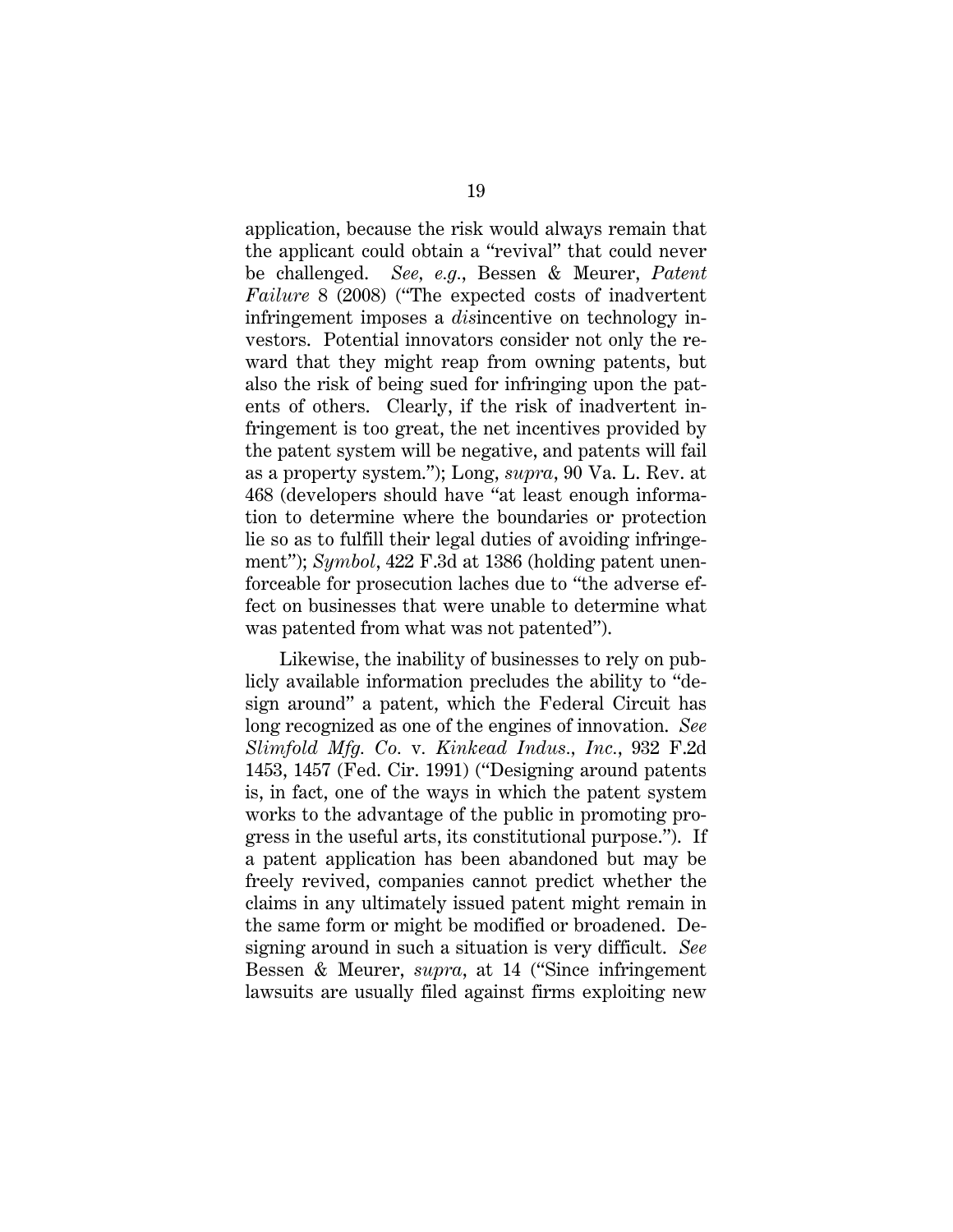application, because the risk would always remain that the applicant could obtain a "revival" that could never be challenged. *See, e.g.*, Bessen & Meurer, *Patent Failure* 8 (2008) ("The expected costs of inadvertent infringement imposes a *dis*incentive on technology investors. Potential innovators consider not only the reward that they might reap from owning patents, but also the risk of being sued for infringing upon the patents of others. Clearly, if the risk of inadvertent infringement is too great, the net incentives provided by the patent system will be negative, and patents will fail as a property system."); Long, *supra*, 90 Va. L. Rev. at 468 (developers should have "at least enough information to determine where the boundaries or protection lie so as to fulfill their legal duties of avoiding infringement"); *Symbol*, 422 F.3d at 1386 (holding patent unenforceable for prosecution laches due to "the adverse effect on businesses that were unable to determine what was patented from what was not patented").

Likewise, the inability of businesses to rely on publicly available information precludes the ability to "design around" a patent, which the Federal Circuit has long recognized as one of the engines of innovation. *See Slimfold Mfg. Co.* v*. Kinkead Indus., Inc.*, 932 F.2d 1453, 1457 (Fed. Cir. 1991) ("Designing around patents is, in fact, one of the ways in which the patent system works to the advantage of the public in promoting progress in the useful arts, its constitutional purpose."). If a patent application has been abandoned but may be freely revived, companies cannot predict whether the claims in any ultimately issued patent might remain in the same form or might be modified or broadened. Designing around in such a situation is very difficult. *See*  Bessen & Meurer, *supra*, at 14 ("Since infringement lawsuits are usually filed against firms exploiting new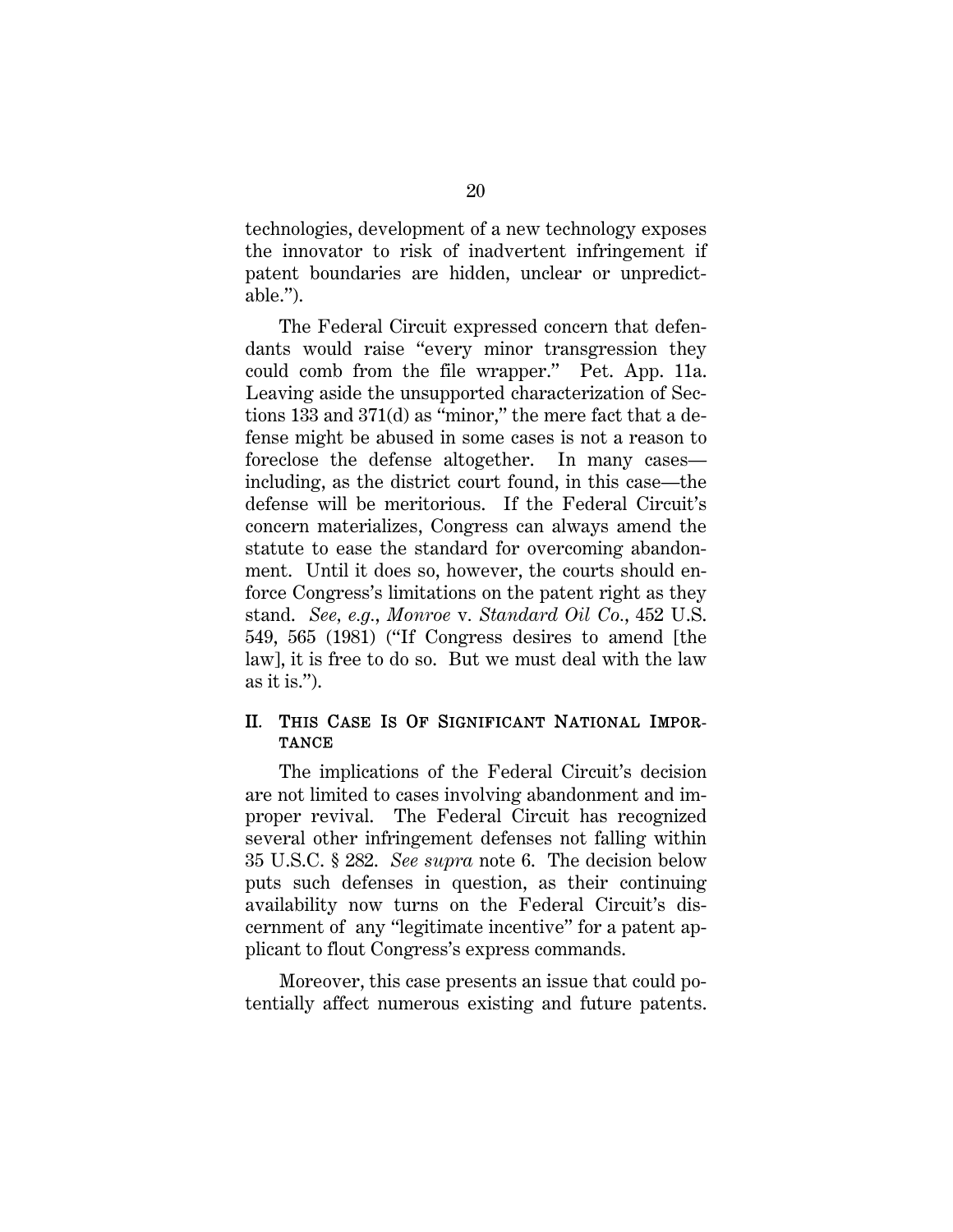technologies, development of a new technology exposes the innovator to risk of inadvertent infringement if patent boundaries are hidden, unclear or unpredictable.").

The Federal Circuit expressed concern that defendants would raise "every minor transgression they could comb from the file wrapper." Pet. App. 11a. Leaving aside the unsupported characterization of Sections 133 and 371(d) as "minor," the mere fact that a defense might be abused in some cases is not a reason to foreclose the defense altogether. In many cases including, as the district court found, in this case—the defense will be meritorious. If the Federal Circuit's concern materializes, Congress can always amend the statute to ease the standard for overcoming abandonment. Until it does so, however, the courts should enforce Congress's limitations on the patent right as they stand. *See, e.g.*, *Monroe* v*. Standard Oil Co.*, 452 U.S. 549, 565 (1981) ("If Congress desires to amend [the law], it is free to do so. But we must deal with the law as it is.").

## II. THIS CASE IS OF SIGNIFICANT NATIONAL IMPOR-**TANCE**

The implications of the Federal Circuit's decision are not limited to cases involving abandonment and improper revival. The Federal Circuit has recognized several other infringement defenses not falling within 35 U.S.C. § 282. *See supra* note 6. The decision below puts such defenses in question, as their continuing availability now turns on the Federal Circuit's discernment of any "legitimate incentive" for a patent applicant to flout Congress's express commands.

Moreover, this case presents an issue that could potentially affect numerous existing and future patents.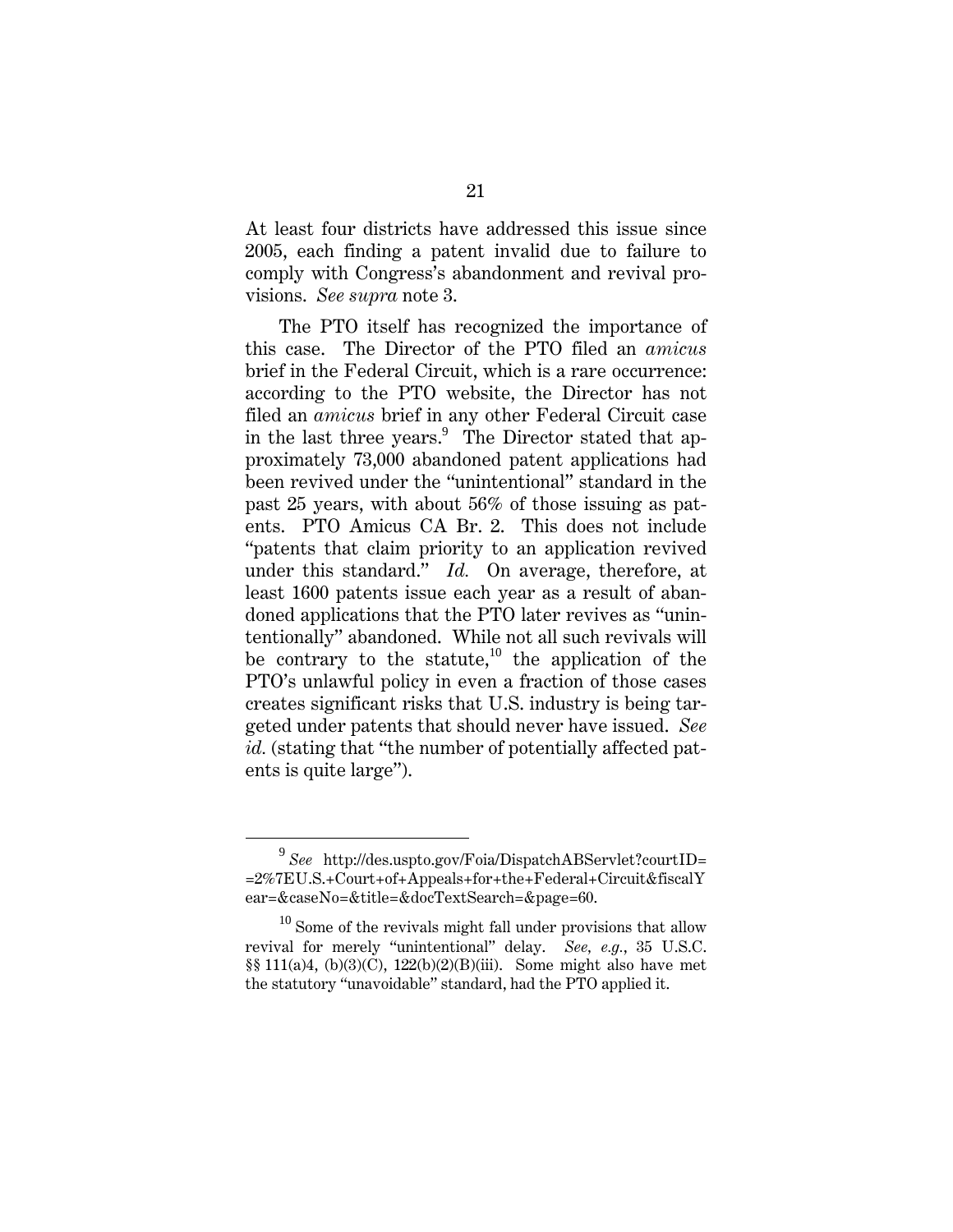At least four districts have addressed this issue since 2005, each finding a patent invalid due to failure to comply with Congress's abandonment and revival provisions. *See supra* note 3.

The PTO itself has recognized the importance of this case. The Director of the PTO filed an *amicus* brief in the Federal Circuit, which is a rare occurrence: according to the PTO website, the Director has not filed an *amicus* brief in any other Federal Circuit case in the last three years.<sup>9</sup> The Director stated that approximately 73,000 abandoned patent applications had been revived under the "unintentional" standard in the past 25 years, with about 56% of those issuing as patents. PTO Amicus CA Br. 2. This does not include "patents that claim priority to an application revived under this standard." *Id.* On average, therefore, at least 1600 patents issue each year as a result of abandoned applications that the PTO later revives as "unintentionally" abandoned. While not all such revivals will be contrary to the statute,<sup>10</sup> the application of the PTO's unlawful policy in even a fraction of those cases creates significant risks that U.S. industry is being targeted under patents that should never have issued. *See id.* (stating that "the number of potentially affected patents is quite large").

<sup>9</sup> *See* http://des.uspto.gov/Foia/DispatchABServlet?courtID= =2%7EU.S.+Court+of+Appeals+for+the+Federal+Circuit&fiscalY ear=&caseNo=&title=&docTextSearch=&page=60.

 $10$  Some of the revivals might fall under provisions that allow revival for merely "unintentional" delay. *See, e.g.*, 35 U.S.C. §§ 111(a)4, (b)(3)(C), 122(b)(2)(B)(iii). Some might also have met the statutory "unavoidable" standard, had the PTO applied it.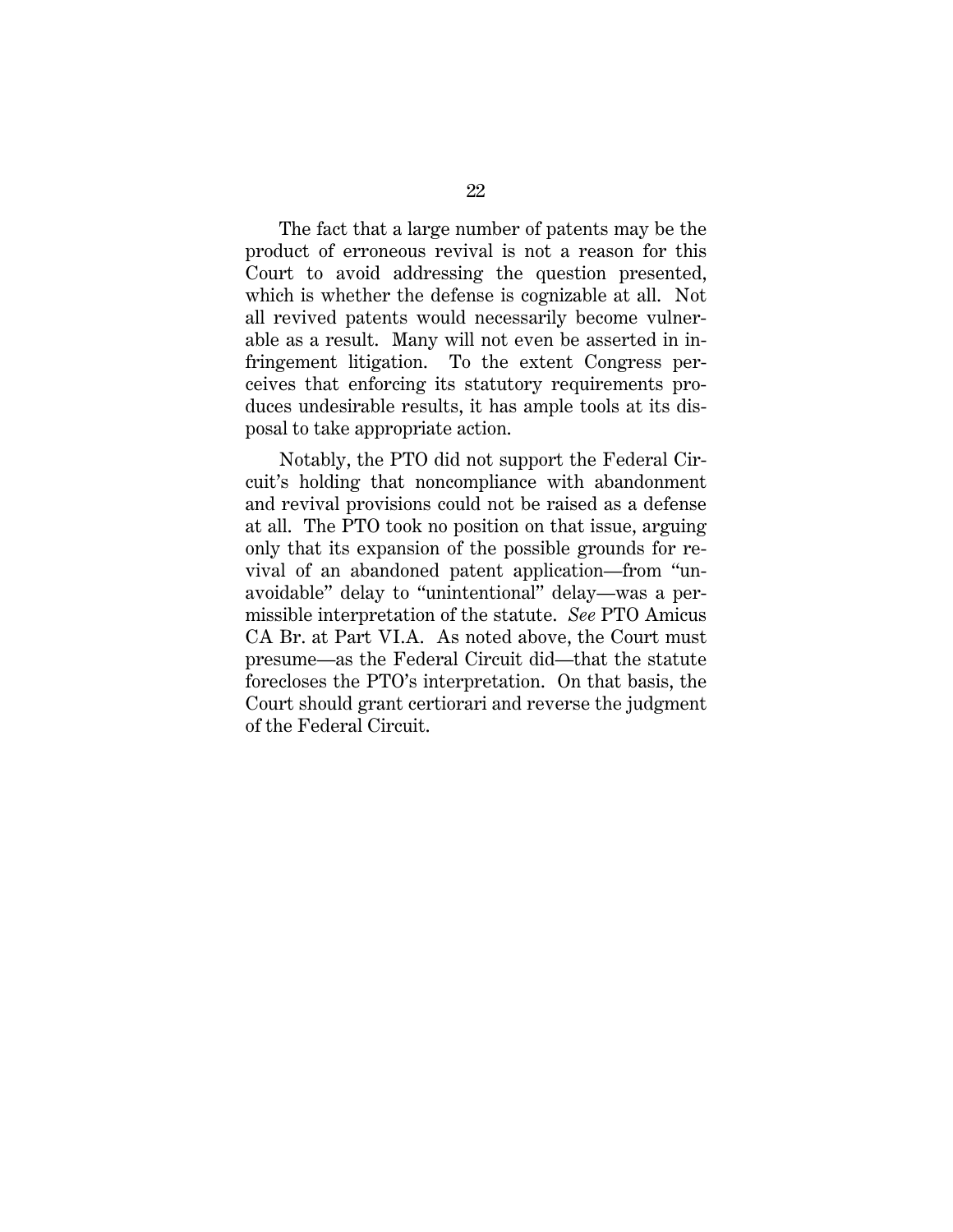The fact that a large number of patents may be the product of erroneous revival is not a reason for this Court to avoid addressing the question presented, which is whether the defense is cognizable at all. Not all revived patents would necessarily become vulnerable as a result. Many will not even be asserted in infringement litigation. To the extent Congress perceives that enforcing its statutory requirements produces undesirable results, it has ample tools at its disposal to take appropriate action.

Notably, the PTO did not support the Federal Circuit's holding that noncompliance with abandonment and revival provisions could not be raised as a defense at all. The PTO took no position on that issue, arguing only that its expansion of the possible grounds for revival of an abandoned patent application—from "unavoidable" delay to "unintentional" delay—was a permissible interpretation of the statute. *See* PTO Amicus CA Br. at Part VI.A. As noted above, the Court must presume—as the Federal Circuit did—that the statute forecloses the PTO's interpretation. On that basis, the Court should grant certiorari and reverse the judgment of the Federal Circuit.